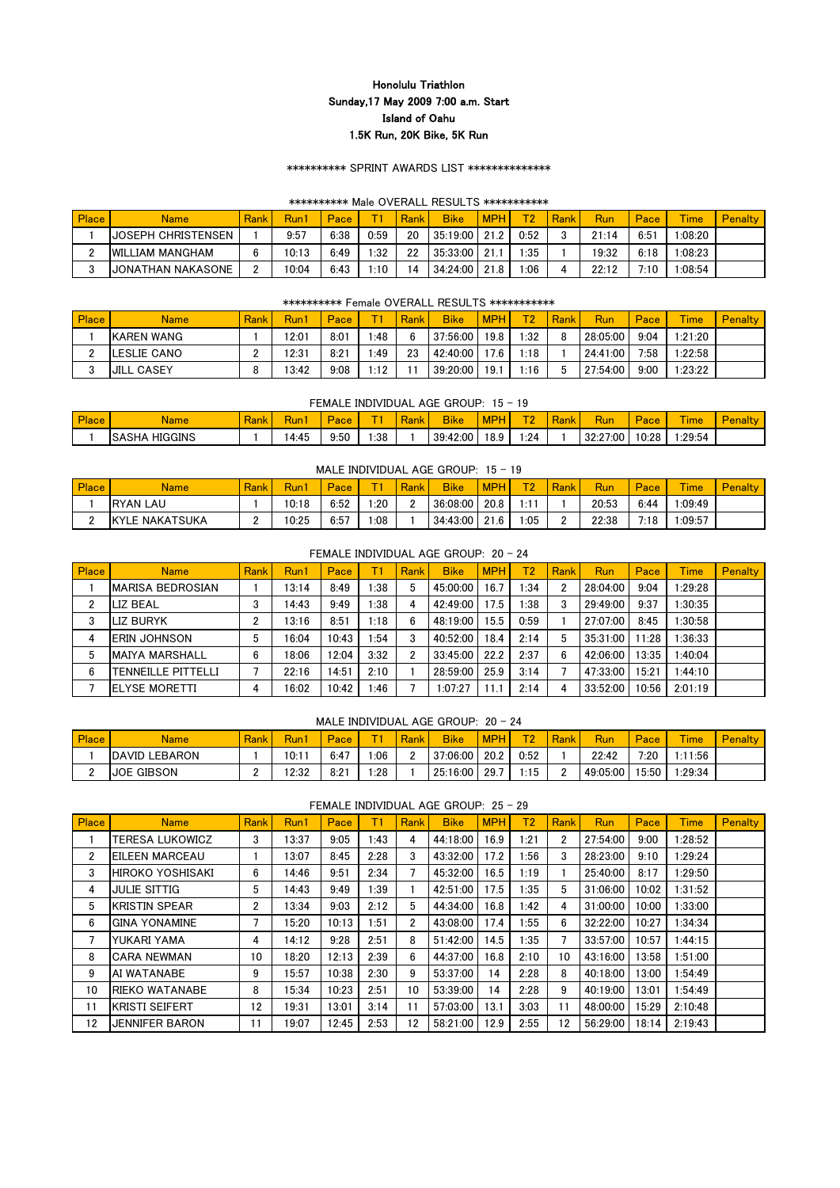## \*\*\*\*\*\*\*\*\*\* SPRINT AWARDS LIST \*\*\*\*\*\*\*\*\*\*\*\*\*\*

#### \*\*\*\*\*\*\*\*\*\* Male OVERALL RESULTS \*\*\*\*\*\*\*\*\*\*\*

| <b>Place</b> | <b>Name</b>              | Rank     | Run1  | Pace |      | Rank | <b>Bike</b> | <b>MPH</b> | <b>T2</b> | Rank | Run   | Pace | <b>Time</b> | <b>Penalty</b> |
|--------------|--------------------------|----------|-------|------|------|------|-------------|------------|-----------|------|-------|------|-------------|----------------|
|              | IJOSEPH CHRISTENSEN      |          | 9:57  | 6:38 | 0:59 | 20   | 35:19:00    | 21.2       | 0:52      |      | 21:14 | 6:51 | :08:20      |                |
| C            | <b>IWILLIAM MANGHAM</b>  |          | 10:13 | 6:49 | :32  | 22   | 35:33:00    | 21         | :35       |      | 9:32  | 6:18 | :08:23      |                |
| ◠            | <b>JONATHAN NAKASONE</b> | <u>n</u> | 10:04 | 6:43 | 1:10 | 14   | 34:24:00    | 21.8       | 1:06      |      | 22:12 | 7:10 | :08:54      |                |

## \*\*\*\*\*\*\*\*\*\* Female OVERALL RESULTS \*\*\*\*\*\*\*\*\*\*\*

| <b>Place</b>  | <b>Name</b>        | <b>Rank</b> | Run   | Pace |      | Rank | <b>Bike</b> | <b>MPH</b> | $\mathbf{D}$ | Rank | Run      | Pace | <b>Time</b> | <b>Penalty</b> |
|---------------|--------------------|-------------|-------|------|------|------|-------------|------------|--------------|------|----------|------|-------------|----------------|
|               | <b>IKAREN WANG</b> |             | 12:01 | 8:01 | :48  | 6    | 37:56:00    | 19.8       | :32          | O    | 28:05:00 | 9:04 | 1:21:20     |                |
| ◠<br><u>_</u> | LESLIE CANO        |             | 12:31 | 8:21 | :49  | 23   | 42:40:00    | 17.6       | :18          |      | 24:41:00 | 7:58 | :22:58      |                |
| $\sim$<br>υ   | <b>JILL CASEY</b>  |             | 13:42 | 9:08 | 1-19 |      | 39:20:00    | 19.1       | :16          |      | 27:54:00 | 9:00 | 1:23:22     |                |

#### FEMALE INDIVIDUAL AGE GROUP: 15 - 19

| <b>Place</b> | Name                    | $\sim$<br><b>Contract Contract Contract</b><br>αr | w    | $\sim$<br>ac | $\overline{\phantom{a}}$ | .<br>سمائك<br><b>A</b> ank | <b>Bike</b> |      | $\mathbf{r}$ |          |      | $-$<br><b>Ime</b> |  |
|--------------|-------------------------|---------------------------------------------------|------|--------------|--------------------------|----------------------------|-------------|------|--------------|----------|------|-------------------|--|
|              | HIGGINS<br>NO HA<br>ISA |                                                   | 4:45 | 9:50         | :38                      |                            | 39:42:00    | 18.9 | :24          | 32:27:00 | 0:28 | :29:54            |  |

#### MALE INDIVIDUAL AGE GROUP:  $15 - 19$

| <b>Place</b> | <b>Name</b>      | <b>Rank</b> | <b>Run</b> | Pace | $-1$ | Rank | <b>Bike</b>     | <b>MPH</b> | $T^{\wedge}$ | Rank | Run   | Pace | $-$<br>lme | Penalty |
|--------------|------------------|-------------|------------|------|------|------|-----------------|------------|--------------|------|-------|------|------------|---------|
|              | <b>IRYAN LAU</b> |             | 10:18      | 6:52 | :20  |      | 36:08:00        | 20.8       | :11          |      | 20:53 | 6:44 | :09:49     |         |
|              | KYLE NAKATSUKA   |             | 10:25      | 6:57 | :08  |      | $34:43:00$ 21.6 |            | :05          |      | 22:38 | 7:18 | .:09:57    |         |

|                |                           |      |       |       |      |      | FEMALE INDIVIDUAL AGE GROUP: 20 - 24 |            |                |                |            |       |             |                |
|----------------|---------------------------|------|-------|-------|------|------|--------------------------------------|------------|----------------|----------------|------------|-------|-------------|----------------|
| <b>Place</b>   | <b>Name</b>               | Rank | Run1  | Pace  | Т1   | Rank | <b>Bike</b>                          | <b>MPH</b> | T <sub>2</sub> | Rank           | <b>Run</b> | Pace  | <b>Time</b> | <b>Penalty</b> |
|                | <b>IMARISA BEDROSIAN</b>  |      | 13:14 | 8:49  | l:38 | 5    | 45:00:00                             | 16.7       | $\cdot$ :34    | $\overline{2}$ | 28:04:00   | 9:04  | 1:29:28     |                |
| $\overline{2}$ | LIZ BEAL                  | 3    | 14:43 | 9:49  | 1:38 | 4    | 42:49:00                             | 17.5       | l:38           | 3              | 29:49:00   | 9:37  | 1:30:35     |                |
| 3              | <b>ILIZ BURYK</b>         | ŋ    | 13:16 | 8:51  | 1:18 | 6    | 48:19:00                             | 15.5       | 0:59           |                | 27:07:00   | 8:45  | 1:30:58     |                |
| 4              | IERIN JOHNSON             | 5    | 16:04 | 10:43 | 1:54 | 3    | 40:52:00                             | 18.4       | 2:14           | 5              | 35:31:00   | 11:28 | 1:36:33     |                |
| 5              | <b>MAIYA MARSHALL</b>     | 6    | 18:06 | 12:04 | 3:32 | 2    | 33:45:00                             | 22.2       | 2:37           | 6              | 42:06:00   | 13:35 | 1:40:04     |                |
| 6              | <b>TENNEILLE PITTELLI</b> |      | 22:16 | 14:51 | 2:10 |      | 28:59:00                             | 25.9       | 3:14           |                | 47:33:00   | 15:21 | 1:44:10     |                |
|                | <b>IELYSE MORETTI</b>     | 4    | 16:02 | 10:42 | 1:46 |      | 1:07:27                              | 1.1        | 2:14           | 4              | 33:52:00   | 10:56 | 2:01:19     |                |

#### MALE INDIVIDUAL AGE GROUP: 20 - 24

| <b>Place</b> | <b>Name</b>                | Rank | Run1  | Pace | $-$ | Rank | <b>Bike</b> | MPH  | $T^{\alpha}$ | Rank | Run      | Pace  | $-$<br><b>Ime</b> | <b>Penalty</b> |
|--------------|----------------------------|------|-------|------|-----|------|-------------|------|--------------|------|----------|-------|-------------------|----------------|
|              | LEBARON<br><b>IDAVID L</b> |      | 10:11 | 6:47 | :06 |      | 37:06:00    | 20.2 | 0:52         |      | 22:42    | 7:20  | :11:56            |                |
| C<br>-       | <b>IJOE GIBSON</b>         |      | 2:32  | 8:21 | :28 |      | 25:16:00    | 29.7 | ∷15          |      | 49:05:00 | 15:50 | :29:34            |                |

FEMALE INDIVIDUAL AGE GROUP: 25 - 29

| Place | <b>Name</b>             | Rank | Run1  | Pace  | Т    | Rank | <b>Bike</b> | <b>MPH</b> | T <sub>2</sub> | Rank | <b>Run</b> | Pace  | <b>Time</b> | <b>Penalty</b> |
|-------|-------------------------|------|-------|-------|------|------|-------------|------------|----------------|------|------------|-------|-------------|----------------|
|       | TERESA LUKOWICZ         | 3    | 13:37 | 9:05  | 1:43 | 4    | 44:18:00    | 16.9       | 1:21           | 2    | 27:54:00   | 9:00  | 1:28:52     |                |
| 2     | EILEEN MARCEAU          |      | 13:07 | 8:45  | 2:28 | 3    | 43:32:00    | 17.2       | 1:56           | 3    | 28:23:00   | 9:10  | 1:29:24     |                |
| 3     | <b>HIROKO YOSHISAKI</b> | 6    | 14:46 | 9:51  | 2:34 |      | 45:32:00    | 16.5       | 1:19           |      | 25:40:00   | 8:17  | 1:29:50     |                |
| 4     | <b>JULIE SITTIG</b>     | 5    | 14:43 | 9:49  | 1:39 |      | 42:51:00    | 17.5       | 1:35           | 5    | 31:06:00   | 10:02 | 1:31:52     |                |
| 5     | <b>KRISTIN SPEAR</b>    | 2    | 13:34 | 9:03  | 2:12 | 5    | 44:34:00    | 16.8       | 1:42           | 4    | 31:00:00   | 10:00 | 1:33:00     |                |
| 6     | <b>GINA YONAMINE</b>    |      | 15:20 | 10:13 | 1:51 | 2    | 43:08:00    | 17.4       | 1:55           | 6    | 32:22:00   | 10:27 | 1:34:34     |                |
|       | YUKARI YAMA             | 4    | 14:12 | 9:28  | 2:51 | 8    | 51:42:00    | 14.5       | 1:35           |      | 33:57:00   | 10:57 | 1:44:15     |                |
| 8     | <b>CARA NEWMAN</b>      | 10   | 18:20 | 12:13 | 2:39 | 6    | 44:37:00    | 16.8       | 2:10           | 10   | 43:16:00   | 13:58 | 1:51:00     |                |
| 9     | AI WATANABE             | 9    | 15:57 | 10:38 | 2:30 | 9    | 53:37:00    | 14         | 2:28           | 8    | 40:18:00   | 13:00 | 1:54:49     |                |
| 10    | <b>RIEKO WATANABE</b>   | 8    | 15:34 | 10:23 | 2:51 | 10   | 53:39:00    | 14         | 2:28           | 9    | 40:19:00   | 13:01 | 1:54:49     |                |
| 11    | <b>KRISTI SEIFERT</b>   | 12   | 19:31 | 13:01 | 3:14 | 11   | 57:03:00    | 13.1       | 3:03           | 11   | 48:00:00   | 15:29 | 2:10:48     |                |
| 12    | <b>JENNIFER BARON</b>   | 11   | 19:07 | 12:45 | 2:53 | 12   | 58:21:00    | 12.9       | 2:55           | 12   | 56:29:00   | 18:14 | 2:19:43     |                |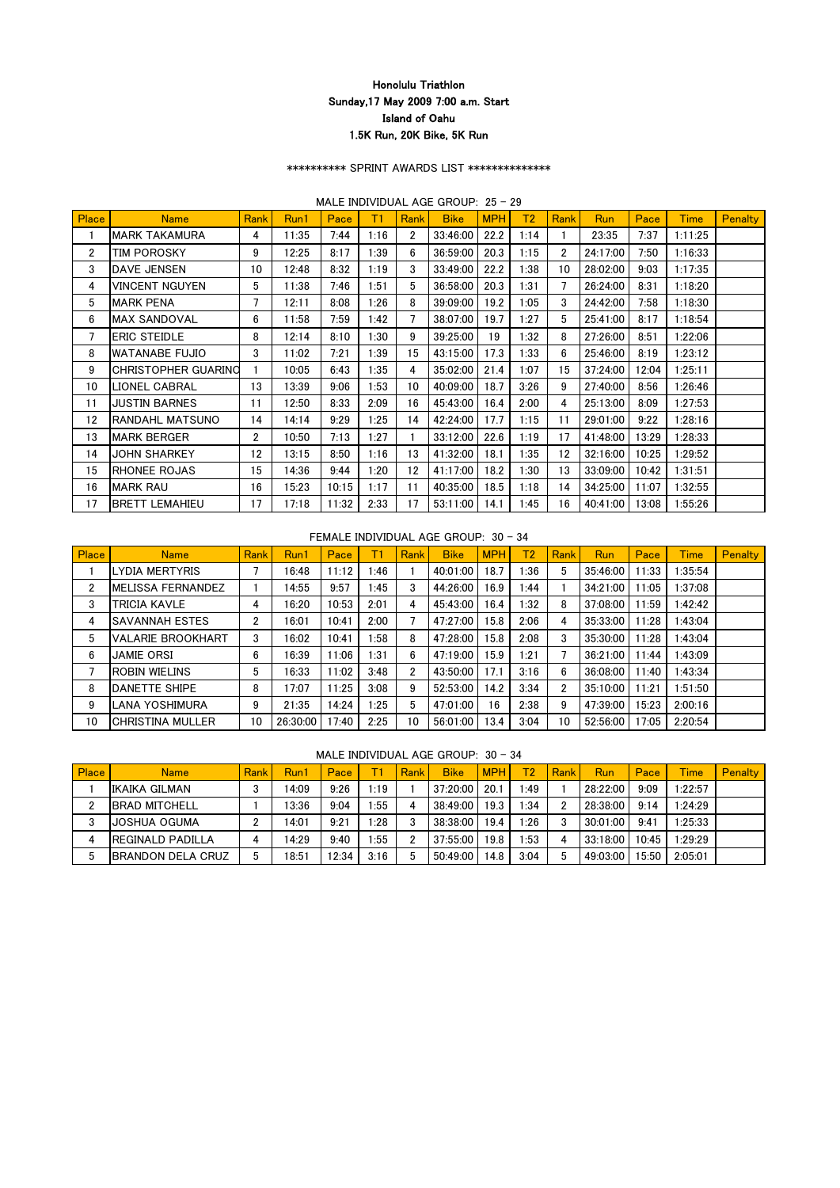## \*\*\*\*\*\*\*\*\*\* SPRINT AWARDS LIST \*\*\*\*\*\*\*\*\*\*\*\*\*\*

## MALE INDIVIDUAL AGE GROUP: 25 - 29

| <b>Place</b>   | <b>Name</b>                | Rank           | Run1  | <b>Pace</b> | Τ1   | <b>Rank</b>           | <b>Bike</b> | <b>MPH</b> | T <sub>2</sub> | <b>Rank</b> | <b>Run</b> | Pace  | <b>Time</b> | <b>Penalty</b> |
|----------------|----------------------------|----------------|-------|-------------|------|-----------------------|-------------|------------|----------------|-------------|------------|-------|-------------|----------------|
|                | MARK TAKAMURA              | 4              | 11:35 | 7:44        | 1:16 | $\mathbf{2}^{\prime}$ | 33:46:00    | 22.2       | 1:14           |             | 23:35      | 7:37  | 1:11:25     |                |
| $\overline{2}$ | TIM POROSKY                | 9              | 12:25 | 8:17        | 1:39 | 6                     | 36:59:00    | 20.3       | 1:15           | 2           | 24:17:00   | 7:50  | 1:16:33     |                |
| 3              | <b>DAVE JENSEN</b>         | 10             | 12:48 | 8:32        | 1:19 | 3                     | 33:49:00    | 22.2       | 1:38           | 10          | 28:02:00   | 9:03  | 1:17:35     |                |
| 4              | VINCENT NGUYEN             | 5              | 11:38 | 7:46        | 1:51 | 5                     | 36:58:00    | 20.3       | 1:31           | 7           | 26:24:00   | 8:31  | 1:18:20     |                |
| 5              | <b>MARK PENA</b>           | 7              | 12:11 | 8:08        | 1:26 | 8                     | 39:09:00    | 19.2       | 1:05           | 3           | 24:42:00   | 7:58  | 1:18:30     |                |
| 6              | <b>MAX SANDOVAL</b>        | 6              | 11:58 | 7:59        | 1:42 |                       | 38:07:00    | 19.7       | 1:27           | 5           | 25:41:00   | 8:17  | 1:18:54     |                |
| 7              | <b>ERIC STEIDLE</b>        | 8              | 12:14 | 8:10        | 1:30 | 9                     | 39:25:00    | 19         | 1:32           | 8           | 27:26:00   | 8:51  | 1:22:06     |                |
| 8              | <b>WATANABE FUJIO</b>      | 3              | 11:02 | 7:21        | 1:39 | 15                    | 43:15:00    | 17.3       | 1:33           | 6           | 25:46:00   | 8:19  | 1:23:12     |                |
| 9              | <b>CHRISTOPHER GUARINO</b> |                | 10:05 | 6:43        | 1:35 | 4                     | 35:02:00    | 21.4       | 1:07           | 15          | 37:24:00   | 12:04 | 1:25:11     |                |
| 10             | LIONEL CABRAL              | 13             | 13:39 | 9:06        | 1:53 | 10                    | 40:09:00    | 18.7       | 3:26           | 9           | 27:40:00   | 8:56  | 1:26:46     |                |
| 11             | <b>JUSTIN BARNES</b>       | 11             | 12:50 | 8:33        | 2:09 | 16                    | 45:43:00    | 16.4       | 2:00           | 4           | 25:13:00   | 8:09  | 1:27:53     |                |
| 12             | RANDAHL MATSUNO            | 14             | 14:14 | 9:29        | 1:25 | 14                    | 42:24:00    | 17.7       | 1:15           | 11          | 29:01:00   | 9:22  | 1:28:16     |                |
| 13             | <b>MARK BERGER</b>         | $\overline{2}$ | 10:50 | 7:13        | 1:27 |                       | 33:12:00    | 22.6       | 1:19           | 17          | 41:48:00   | 13:29 | 1:28:33     |                |
| 14             | <b>JOHN SHARKEY</b>        | 12             | 13:15 | 8:50        | 1:16 | 13                    | 41:32:00    | 18.1       | 1:35           | 12          | 32:16:00   | 10:25 | 1:29:52     |                |
| 15             | <b>RHONEE ROJAS</b>        | 15             | 14:36 | 9:44        | 1:20 | 12                    | 41:17:00    | 18.2       | 1:30           | 13          | 33:09:00   | 10:42 | 1:31:51     |                |
| 16             | <b>MARK RAU</b>            | 16             | 15:23 | 10:15       | 1:17 | 11                    | 40:35:00    | 18.5       | 1:18           | 14          | 34:25:00   | 11:07 | 1:32:55     |                |
| 17             | <b>BRETT LEMAHIEU</b>      | 17             | 17:18 | 11:32       | 2:33 | 17                    | 53:11:00    | 14.1       | 1:45           | 16          | 40:41:00   | 13:08 | 1:55:26     |                |

# FEMALE INDIVIDUAL AGE GROUP: 30 - 34

| Place | <b>Name</b>              | Rank | Run1     | Pace  | Τ1   | Rank | <b>Bike</b> | <b>MPH</b> | Τ2    | Rank           | <b>Run</b> | Pace  | <b>Time</b> | Penalty |
|-------|--------------------------|------|----------|-------|------|------|-------------|------------|-------|----------------|------------|-------|-------------|---------|
|       | YDIA MERTYRIS.           |      | 16:48    | 11:12 | ∣:46 |      | 40:01:00    | 18.7       | 1:36∶ | 5              | 35:46:00   | 11:33 | 1:35:54     |         |
| 2     | MELISSA FERNANDEZ        |      | 14:55    | 9:57  | 1:45 | 3    | 44:26:00    | 16.9       | 44:،  |                | 34:21:00   | 11:05 | 1:37:08     |         |
| 3     | <b>TRICIA KAVLE</b>      | 4    | 16:20    | 10:53 | 2:01 | 4    | 45:43:00    | 16.4       | 1:32  | 8              | 37:08:00   | 11:59 | 1:42:42     |         |
| 4     | <b>SAVANNAH ESTES</b>    | 2    | 16:01    | 10:41 | 2:00 |      | 47:27:00    | 15.8       | 2:06  | 4              | 35:33:00   | 11:28 | 1:43:04     |         |
| 5     | <b>VALARIE BROOKHART</b> | 3    | 16:02    | 10:41 | 1:58 | 8    | 47:28:00    | 15.8       | 2:08  | 3              | 35:30:00   | 11:28 | 1:43:04     |         |
| 6     | <b>JAMIE ORSI</b>        | 6    | 16:39    | 11:06 | 1:31 | 6    | 47:19:00    | 15.9       | 1:21  |                | 36:21:00   | 11:44 | 1:43:09     |         |
|       | <b>ROBIN WIELINS</b>     | 5    | 16:33    | 11:02 | 3:48 | 2    | 43:50:00    | 17.1       | 3:16  | 6              | 36:08:00   | 11:40 | 1:43:34     |         |
| 8     | DANETTE SHIPE            | 8    | 17:07    | 11:25 | 3:08 | 9    | 52:53:00    | 14.2       | 3:34  | $\overline{2}$ | 35:10:00   | 11:21 | 1:51:50     |         |
| 9     | LANA YOSHIMURA           | 9    | 21:35    | 14:24 | 1:25 | 5    | 47:01:00    | 16         | 2:38  | 9              | 47:39:00   | 15:23 | 2:00:16     |         |
| 10    | <b>CHRISTINA MULLER</b>  | 10   | 26:30:00 | 17:40 | 2:25 | 10   | 56:01:00    | 13.4       | 3:04  | 10             | 52:56:00   | 17:05 | 2:20:54     |         |

### MALE INDIVIDUAL AGE GROUP: 30 - 34

| <b>Place</b> | <b>Name</b>               | <b>Rank</b> | Run1  | Pace  |      | Rank | <b>Bike</b> | <b>MPH</b> | T2          | Rank | Run      | Pace  | <b>Time</b> | <b>Penalty</b> |
|--------------|---------------------------|-------------|-------|-------|------|------|-------------|------------|-------------|------|----------|-------|-------------|----------------|
|              | IKAIKA GILMAN             |             | 14:09 | 9:26  | l:19 |      | 37:20:00    | 20.1       | :49         |      | 28:22:00 | 9:09  | 1:22:57     |                |
|              | <b>BRAD MITCHELL</b>      |             | 13:36 | 9:04  | /:55 |      | 38:49:00    | 19.3       | $\cdot$ :34 | n    | 28:38:00 | 9:14  | 1:24:29     |                |
| 3            | <b>IJOSHUA OGUMA</b>      |             | 14:01 | 9:21  | :28  |      | 38:38:00    | 19.4       | 1:26        | ົ    | 30:01:00 | 9:41  | 1:25:33     |                |
|              | <b>IREGINALD PADILLA</b>  |             | 14:29 | 9:40  | ∟:55 |      | 37:55:00    | 19.8       | :53         |      | 33:18:00 | 10:45 | 1:29:29     |                |
| 5            | <b>IBRANDON DELA CRUZ</b> | 5           | 18:51 | 12:34 | 3:16 |      | 50:49:00    | 14.8       | 3:04        | 5    | 49:03:00 | 15:50 | 2:05:01     |                |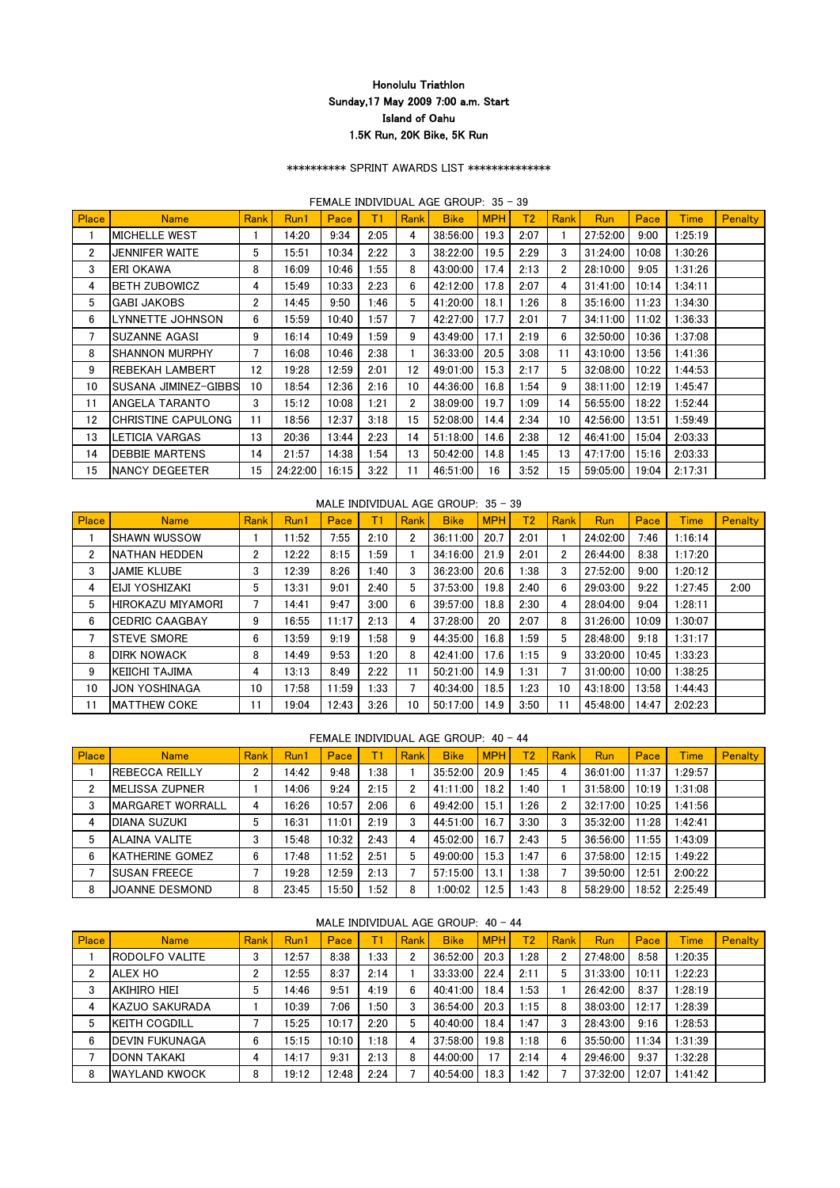## \*\*\*\*\*\*\*\*\*\* SPRINT AWARDS LIST \*\*\*\*\*\*\*\*\*\*\*\*\*\*

## FEMALE INDIVIDUAL AGE GROUP: 35 - 39

| Place          | <b>Name</b>            | <b>Rank</b>           | Run1     | Pace  | T1   | <b>Rank</b>           | <b>Bike</b> | <b>MPH</b> | T2   | <b>Rank</b>    | <b>Run</b> | Pace  | <b>Time</b> | <b>Penalty</b> |
|----------------|------------------------|-----------------------|----------|-------|------|-----------------------|-------------|------------|------|----------------|------------|-------|-------------|----------------|
|                | <b>MICHELLE WEST</b>   |                       | 14:20    | 9:34  | 2:05 | 4                     | 38:56:00    | 19.3       | 2:07 |                | 27:52:00   | 9:00  | 1:25:19     |                |
| $\overline{2}$ | JENNIFER WAITE         | 5                     | 15:51    | 10:34 | 2:22 | 3                     | 38:22:00    | 19.5       | 2:29 | 3              | 31:24:00   | 10:08 | 1:30:26     |                |
| 3              | ERI OKAWA              | 8                     | 16:09    | 10:46 | 1:55 | 8                     | 43:00:00    | 17.4       | 2:13 | 2              | 28:10:00   | 9:05  | 1:31:26     |                |
| 4              | <b>BETH ZUBOWICZ</b>   | 4                     | 15:49    | 10:33 | 2:23 | 6                     | 42:12:00    | 17.8       | 2:07 | 4              | 31:41:00   | 10:14 | 1:34:11     |                |
| 5              | <b>GABI JAKOBS</b>     | $\mathbf{2}^{\prime}$ | 14:45    | 9:50  | 1:46 | 5                     | 41:20:00    | 18.1       | 1:26 | 8              | 35:16:00   | 11:23 | 1:34:30     |                |
| 6              | LYNNETTE JOHNSON       | 6                     | 15:59    | 10:40 | 1:57 |                       | 42:27:00    | 17.7       | 2:01 | $\overline{7}$ | 34:11:00   | 11:02 | 1:36:33     |                |
| 7              | <b>SUZANNE AGASI</b>   | 9                     | 16:14    | 10:49 | 1:59 | 9                     | 43:49:00    | 17.1       | 2:19 | 6              | 32:50:00   | 10:36 | 1:37:08     |                |
| 8              | <b>SHANNON MURPHY</b>  | 7                     | 16:08    | 10:46 | 2:38 |                       | 36:33:00    | 20.5       | 3:08 | 11             | 43:10:00   | 13:56 | 1:41:36     |                |
| 9              | <b>REBEKAH LAMBERT</b> | 12                    | 19:28    | 12:59 | 2:01 | 12                    | 49:01:00    | 15.3       | 2:17 | 5              | 32:08:00   | 10:22 | 1:44:53     |                |
| 10             | ISUSANA JIMINEZ-GIBBS  | 10                    | 18:54    | 12:36 | 2:16 | 10                    | 44:36:00    | 16.8       | 1:54 | 9              | 38:11:00   | 12:19 | 1:45:47     |                |
| 11             | ANGELA TARANTO         | 3                     | 15:12    | 10:08 | 1:21 | $\mathbf{2}^{\prime}$ | 38:09:00    | 19.7       | 1:09 | 14             | 56:55:00   | 18:22 | 1:52:44     |                |
| 12             | CHRISTINE CAPULONG     | 11                    | 18:56    | 12:37 | 3:18 | 15                    | 52:08:00    | 14.4       | 2:34 | 10             | 42:56:00   | 13:51 | 1:59:49     |                |
| 13             | _ETICIA VARGAS         | 13                    | 20:36    | 13:44 | 2:23 | 14                    | 51:18:00    | 14.6       | 2:38 | 12             | 46:41:00   | 15:04 | 2:03:33     |                |
| 14             | <b>DEBBIE MARTENS</b>  | 14                    | 21:57    | 14:38 | 1:54 | 13                    | 50:42:00    | 14.8       | 1:45 | 13             | 47:17:00   | 15:16 | 2:03:33     |                |
| 15             | <b>NANCY DEGEETER</b>  | 15                    | 24:22:00 | 16:15 | 3:22 | 11                    | 46:51:00    | 16         | 3:52 | 15             | 59:05:00   | 19:04 | 2:17:31     |                |

## MALE INDIVIDUAL AGE GROUP: 35 - 39

| Place | <b>Name</b>            | Rank | Run1  | Pace  | Τ1   | Rank | <b>Bike</b> | <b>MPH</b> | T2   | Rank                  | <b>Run</b> | Pace  | <b>Time</b> | <b>Penalty</b> |
|-------|------------------------|------|-------|-------|------|------|-------------|------------|------|-----------------------|------------|-------|-------------|----------------|
|       | <b>ISHAWN WUSSOW</b>   |      | 11:52 | 7:55  | 2:10 | 2    | 36:11:00    | 20.7       | 2:01 |                       | 24:02:00   | 7:46  | 1:16:14     |                |
| 2     | <b>NATHAN HEDDEN</b>   | 2    | 12:22 | 8:15  | 1:59 |      | 34:16:00    | 21.9       | 2:01 | $\mathbf{2}^{\prime}$ | 26:44:00   | 8:38  | 1:17:20     |                |
| 3     | <b>JAMIE KLUBE</b>     | 3    | 12:39 | 8:26  | :40  | 3    | 36:23:00    | 20.6       | 1:38 | 3                     | 27:52:00   | 9:00  | 1:20:12     |                |
| 4     | <b>IEIJI YOSHIZAKI</b> | 5    | 13:31 | 9:01  | 2:40 | 5    | 37:53:00    | 19.8       | 2:40 | 6                     | 29:03:00   | 9:22  | 1:27:45     | 2:00           |
| 5     | ihirokazu miyamori     |      | 14:41 | 9:47  | 3:00 | 6    | 39:57:00    | 18.8       | 2:30 | 4                     | 28:04:00   | 9:04  | 1:28:11     |                |
| 6     | <b>ICEDRIC CAAGBAY</b> | 9    | 16:55 | 11:17 | 2:13 | 4    | 37:28:00    | 20         | 2:07 | 8                     | 31:26:00   | 10:09 | 1:30:07     |                |
|       | <b>STEVE SMORE</b>     | 6    | 13:59 | 9:19  | 1:58 | 9    | 44:35:00    | 16.8       | 1:59 | 5                     | 28:48:00   | 9:18  | 1:31:17     |                |
| 8     | <b>DIRK NOWACK</b>     | 8    | 14:49 | 9:53  | 1:20 | 8    | 42:41:00    | 17.6       | 1:15 | 9                     | 33:20:00   | 10:45 | 1:33:23     |                |
| 9     | <b>IKEIICHI TAJIMA</b> | 4    | 13:13 | 8:49  | 2:22 |      | 50:21:00    | 14.9       | 1:31 |                       | 31:00:00   | 10:00 | 1:38:25     |                |
| 10    | <b>JON YOSHINAGA</b>   | 10   | 17:58 | 11:59 | 1:33 |      | 40:34:00    | 18.5       | 1:23 | 10                    | 43:18:00   | 13:58 | 1:44:43     |                |
| 11    | <b>MATTHEW COKE</b>    | 11   | 19:04 | 12:43 | 3:26 | 10   | 50:17:00    | 14.9       | 3:50 | 11                    | 45:48:00   | 14:47 | 2:02:23     |                |

## FEMALE INDIVIDUAL AGE GROUP: 40 - 44

| Place          | <b>Name</b>              | <b>Rank</b> | Run1  | Pace  |      | Rank | <b>Bike</b> | <b>MPH</b> | T <sub>2</sub> | Rank | <b>Run</b> | Pace  | <b>Time</b> | <b>Penalty</b> |
|----------------|--------------------------|-------------|-------|-------|------|------|-------------|------------|----------------|------|------------|-------|-------------|----------------|
|                | IREBECCA REILLY          |             | 14:42 | 9:48  | 1:38 |      | 35:52:00    | 20.9       | l:45           | 4    | 36:01:00   | 11:37 | 1:29:57     |                |
| $\overline{2}$ | <b>MELISSA ZUPNER</b>    |             | 14:06 | 9:24  | 2:15 |      | 41:11:00    | 18.2       | 40:،           |      | 31:58:00   | 10:19 | 1:31:08     |                |
| 3              | <b>IMARGARET WORRALL</b> |             | 16:26 | 10:57 | 2:06 | 6    | 49:42:00    | 15.1       | l:26           | 2    | 32:17:00   | 10:25 | 1:41:56     |                |
| 4              | <b>IDIANA SUZUKI</b>     |             | 16:31 | 11:01 | 2:19 |      | 44:51:00    | 16.7       | 3:30           | 3    | 35:32:00   | 11:28 | 1:42:41     |                |
| 5              | ALAINA VALITE            |             | 15:48 | 10:32 | 2:43 | 4    | 45:02:00    | 16.7       | 2:43           | 5    | 36:56:00   | 1:55  | 1:43:09     |                |
| 6              | <b>IKATHERINE GOMEZ</b>  | 6           | 17:48 | 11:52 | 2:51 | 5    | 49:00:00    | 15.3       | :47            | 6    | 37:58:00   | 12:15 | 1:49:22     |                |
|                | <b>ISUSAN FREECE</b>     |             | 19:28 | 12:59 | 2:13 |      | 57:15:00    | 13.1       | 1:38           |      | 39:50:00   | 12:51 | 2:00:22     |                |
| 8              | JOANNE DESMOND           |             | 23:45 | 15:50 | :52  | 8    | 1:00:02     | 12.5       | ∴43            | 8    | 58:29:00   | 18:52 | 2:25:49     |                |

|  | MALE INDIVIDUAL AGE GROUP: $40 - 44$ |  |
|--|--------------------------------------|--|
|  |                                      |  |

| <b>Place</b> | <b>Name</b>           | <b>Rank</b> | Run1  | Pace  |      | Rank | <b>Bike</b> | <b>MPHI</b> | T2   | <b>Rank</b> | <b>Run</b> | Pace  | <b>Time</b> | <b>Penalty</b> |
|--------------|-----------------------|-------------|-------|-------|------|------|-------------|-------------|------|-------------|------------|-------|-------------|----------------|
|              | <b>RODOLFO VALITE</b> | 3           | 12:57 | 8:38  | 1:33 |      | 36:52:00    | 20.3        | 1:28 |             | 27:48:00   | 8:58  | 1:20:35     |                |
|              | <b>ALEX HO</b>        | n           | 12:55 | 8:37  | 2:14 |      | 33:33:00    | 22.4        | 2:11 | 5           | 31:33:00   | 10:11 | 1:22:23     |                |
| 3            | <b>AKIHIRO HIEI</b>   | 5           | 14:46 | 9:51  | 4:19 |      | 40:41:00    | 18.4        | 1:53 |             | 26:42:00   | 8:37  | 1:28:19     |                |
| 4            | <b>KAZUO SAKURADA</b> |             | 10:39 | 7:06  | 1:50 |      | 36:54:00    | 20.3        | 1:15 | 8           | 38:03:00   | 12:17 | 1:28:39     |                |
| 5            | <b>KEITH COGDILL</b>  |             | 15:25 | 10:17 | 2:20 |      | 40:40:00    | 18.4        | 1:47 | 3           | 28:43:00   | 9:16  | 1:28:53     |                |
| 6            | <b>DEVIN FUKUNAGA</b> | 6           | 15:15 | 10:10 | 1:18 |      | 37:58:00    | 19.8        | 1:18 | 6           | 35:50:00   | 11:34 | 1:31:39     |                |
|              | <b>DONN TAKAKI</b>    | 4           | 14:17 | 9:31  | 2:13 | 8    | 44:00:00    | 17          | 2:14 | 4           | 29:46:00   | 9:37  | 1:32:28     |                |
| 8            | <b>WAYLAND KWOCK</b>  | 8           | 19:12 | 12:48 | 2:24 |      | 40:54:00    | 18.3        | 1:42 |             | 37:32:00   | 12:07 | 1:41:42     |                |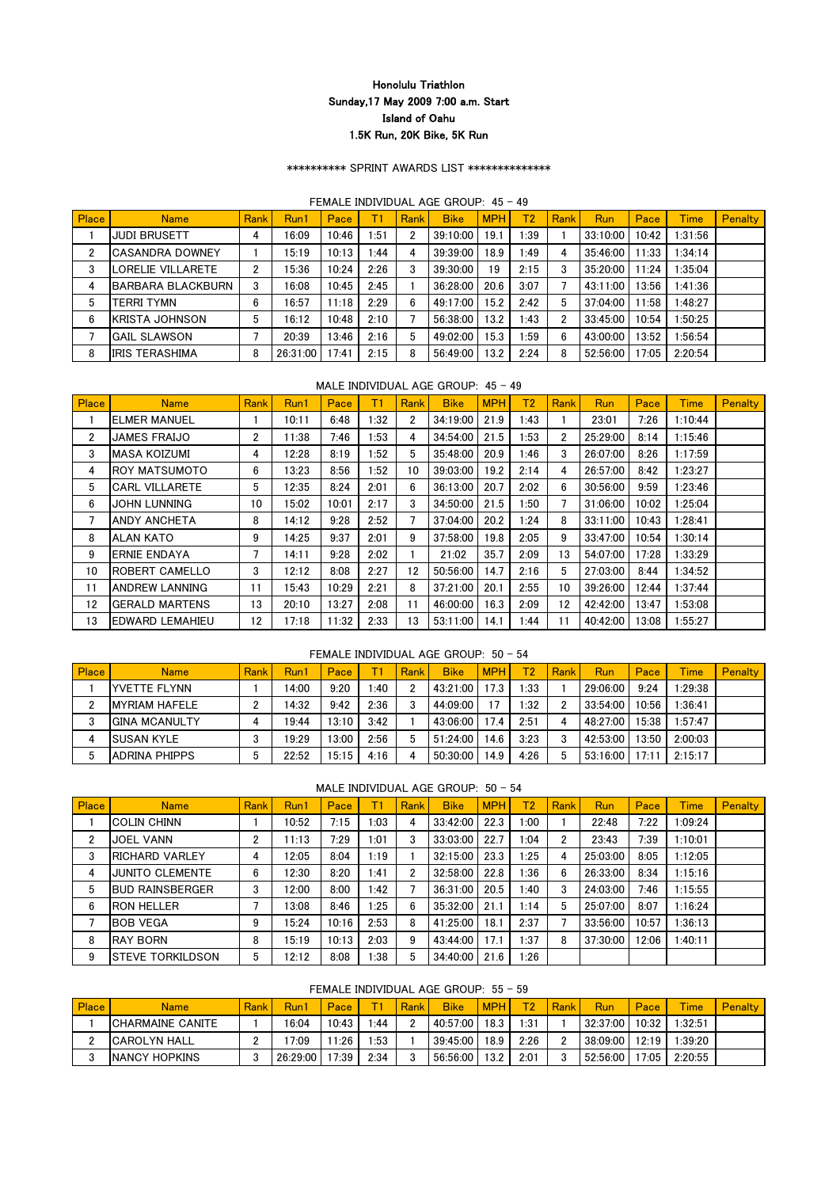## \*\*\*\*\*\*\*\*\*\* SPRINT AWARDS LIST \*\*\*\*\*\*\*\*\*\*\*\*\*\*

#### FEMALE INDIVIDUAL AGE GROUP: 45 - 49

| Place          | <b>Name</b>              | <b>Rank</b> | Run1     | Pace  |      | Rank | <b>Bike</b> | <b>MPH</b> | T <sub>2</sub> | Rank | <b>Run</b> | Pace  | Time    | <b>Penalty</b> |
|----------------|--------------------------|-------------|----------|-------|------|------|-------------|------------|----------------|------|------------|-------|---------|----------------|
|                | <b>JUDI BRUSETT</b>      | 4           | 16:09    | 10:46 | 1:51 | 2    | 39:10:00    | 19.1       | 1:39           |      | 33:10:00   | 10:42 | 1:31:56 |                |
| $\overline{2}$ | <b>CASANDRA DOWNEY</b>   |             | 15:19    | 10:13 | 1:44 | 4    | 39:39:00    | 18.9       | 49: ا          | 4    | 35:46:00   | 11:33 | 1:34:14 |                |
| 3              | ORELIE VILLARETE         | າ           | 15:36    | 10:24 | 2:26 |      | 39:30:00    | 19         | 2:15           | 3    | 35:20:00   | 11:24 | 1:35:04 |                |
| 4              | <b>BARBARA BLACKBURN</b> | 3           | 16:08    | 10:45 | 2:45 |      | 36:28:00    | 20.6       | 3:07           |      | 43:11:00   | 13:56 | 1:41:36 |                |
| 5              | terri tymn               | 6           | 16:57    | 11:18 | 2:29 | 6    | 49:17:00    | 15.2       | 2:42           | 5    | 37:04:00   | 11:58 | 1:48:27 |                |
| 6              | <b>KRISTA JOHNSON</b>    | 5           | 16:12    | 10:48 | 2:10 |      | 56:38:00    | 13.2       | 1:43           | 2    | 33:45:00   | 10:54 | :50:25  |                |
|                | <b>GAIL SLAWSON</b>      |             | 20:39    | 13:46 | 2:16 | 5    | 49:02:00    | 15.3       | l:59           | 6    | 43:00:00   | 13:52 | :56:54  |                |
| 8              | <b>IRIS TERASHIMA</b>    | 8           | 26:31:00 | 7:41  | 2:15 | 8    | 56:49:00    | 13.2       | 2:24           | 8    | 52:56:00   | 17:05 | 2:20:54 |                |

## MALE INDIVIDUAL AGE GROUP: 45 - 49

| Place          | <b>Name</b>            | Rank                  | Run1  | Pace  | T1   | Rank                  | <b>Bike</b> | <b>MPH</b> | T <sub>2</sub> | Rank           | <b>Run</b> | Pace  | <b>Time</b> | <b>Penalty</b> |
|----------------|------------------------|-----------------------|-------|-------|------|-----------------------|-------------|------------|----------------|----------------|------------|-------|-------------|----------------|
|                | <b>IELMER MANUEL</b>   |                       | 10:11 | 6:48  | 1:32 | $\mathbf{2}^{\prime}$ | 34:19:00    | 21.9       | 1:43           |                | 23:01      | 7:26  | 1:10:44     |                |
| $\overline{2}$ | <b>JAMES FRAIJO</b>    | $\mathbf{2}^{\prime}$ | 11:38 | 7:46  | 1:53 | 4                     | 34:54:00    | 21.5       | 1:53           | $\overline{2}$ | 25:29:00   | 8:14  | 1:15:46     |                |
| 3              | <b>MASA KOIZUMI</b>    | 4                     | 12:28 | 8:19  | 1:52 | 5                     | 35:48:00    | 20.9       | 1:46           | 3              | 26:07:00   | 8:26  | 1:17:59     |                |
| 4              | <b>ROY MATSUMOTO</b>   | 6                     | 13:23 | 8:56  | 1:52 | 10                    | 39:03:00    | 19.2       | 2:14           | 4              | 26:57:00   | 8:42  | 1:23:27     |                |
| 5              | <b>CARL VILLARETE</b>  | 5                     | 12:35 | 8:24  | 2:01 | 6                     | 36:13:00    | 20.7       | 2:02           | 6              | 30:56:00   | 9:59  | 1:23:46     |                |
| 6              | JOHN LUNNING           | 10                    | 15:02 | 10:01 | 2:17 | 3                     | 34:50:00    | 21.5       | 1:50           | 7              | 31:06:00   | 10:02 | 1:25:04     |                |
| 7              | <b>ANDY ANCHETA</b>    | 8                     | 14:12 | 9:28  | 2:52 |                       | 37:04:00    | 20.2       | 1:24           | 8              | 33:11:00   | 10:43 | 1:28:41     |                |
| 8              | ALAN KATO              | 9                     | 14:25 | 9:37  | 2:01 | 9                     | 37:58:00    | 19.8       | 2:05           | 9              | 33:47:00   | 10:54 | 1:30:14     |                |
| 9              | <b>IERNIE ENDAYA</b>   |                       | 14:11 | 9:28  | 2:02 |                       | 21:02       | 35.7       | 2:09           | 13             | 54:07:00   | 17:28 | 1:33:29     |                |
| 10             | <b>ROBERT CAMELLO</b>  | 3                     | 12:12 | 8:08  | 2:27 | 12                    | 50:56:00    | 14.7       | 2:16           | 5              | 27:03:00   | 8:44  | 1:34:52     |                |
| 11             | <b>ANDREW LANNING</b>  | 11                    | 15:43 | 10:29 | 2:21 | 8                     | 37:21:00    | 20.1       | 2:55           | 10             | 39:26:00   | 12:44 | 1:37:44     |                |
| 12             | <b>GERALD MARTENS</b>  | 13                    | 20:10 | 13:27 | 2:08 | 11                    | 46:00:00    | 16.3       | 2:09           | 12             | 42:42:00   | 13:47 | 1:53:08     |                |
| 13             | <b>EDWARD LEMAHIEU</b> | 12                    | 17:18 | 11:32 | 2:33 | 13                    | 53:11:00    | 14.1       | 1:44           | 11             | 40:42:00   | 13:08 | 1:55:27     |                |

### FEMALE INDIVIDUAL AGE GROUP: 50 - 54

| <b>Place</b> | <b>Name</b>           | Rank I | Run1  | Pace  |      | Rank | <b>Bike</b> | <b>MPH</b> | T2\  | Rank | <b>Run</b> | Pace  | <b>Time</b> | <b>Penalty</b> |
|--------------|-----------------------|--------|-------|-------|------|------|-------------|------------|------|------|------------|-------|-------------|----------------|
|              | <b>IYVETTE FLYNN</b>  |        | 14:00 | 9:20  | :40  |      | 43:21:00    | 17.3       | l:33 |      | 29:06:00   | 9:24  | 1:29:38     |                |
| C            | <b>IMYRIAM HAFELE</b> |        | 14:32 | 9:42  | 2:36 |      | 44:09:00    | 17         | :32  |      | 33:54:00   | 10:56 | 1:36:41     |                |
| 3            | IGINA MCANULTY        |        | 19:44 | 13:10 | 3:42 |      | 43:06:00    | 17.4       | 2:51 |      | 48:27:00   | 15:38 | 1:57:47     |                |
|              | <b>SUSAN KYLE</b>     |        | 19:29 | 13:00 | 2:56 |      | 51:24:00    | 14.6       | 3:23 |      | 42:53:00   | 13:50 | 2:00:03     |                |
| 5            | <b>ADRINA PHIPPS</b>  |        | 22:52 | 15:15 | 4:16 |      | 50:30:00    | 14.9       | 4:26 |      | 53:16:00   | 17:11 | 2:15:17     |                |

#### MALE INDIVIDUAL AGE GROUP: 50 - 54

| Place          | <b>Name</b>            | Rank | Run1  | Pace  |      | Rank | <b>Bike</b> | <b>MPH</b> | T <sub>2</sub> | Rank | Run      | Pace  | <b>Time</b> | Penalty |
|----------------|------------------------|------|-------|-------|------|------|-------------|------------|----------------|------|----------|-------|-------------|---------|
|                | <b>COLIN CHINN</b>     |      | 10:52 | 7:15  | :03  | 4    | 33:42:00    | 22.3       | :00            |      | 22:48    | 7:22  | 1:09:24     |         |
| $\overline{2}$ | <b>JOEL VANN</b>       | ŋ,   | 11:13 | 7:29  | 1:01 | 3    | 33:03:00    | 22.7       | 1:04           | ŋ.   | 23:43    | 7:39  | 1:10:01     |         |
| 3              | <b>RICHARD VARLEY</b>  | 4    | 12:05 | 8:04  | 1:19 |      | 32:15:00    | 23.3       | 1:25           | 4    | 25:03:00 | 8:05  | 1:12:05     |         |
| 4              | <b>JUNITO CLEMENTE</b> | 6    | 12:30 | 8:20  | 1:41 | 2    | 32:58:00    | 22.8       | .36            | 6    | 26:33:00 | 8:34  | 1:15:16     |         |
| 5              | <b>BUD RAINSBERGER</b> | 3    | 12:00 | 8:00  | 1:42 |      | 36:31:00    | 20.5       | 40:،           | 3    | 24:03:00 | 7:46  | 1:15:55     |         |
| 6              | <b>RON HELLER</b>      |      | 13:08 | 8:46  | 1:25 | 6    | 35:32:00    | 21.1       | 1:14           | 5    | 25:07:00 | 8:07  | 1:16:24     |         |
|                | <b>BOB VEGA</b>        | 9    | 15:24 | 10:16 | 2:53 | 8    | 41:25:00    | 18.1       | 2:37           |      | 33:56:00 | 10:57 | 1:36:13     |         |
| 8              | <b>RAY BORN</b>        | 8    | 15:19 | 10:13 | 2:03 | 9    | 43:44:00    | 17.1       | ∴37            | 8    | 37:30:00 | 12:06 | 1:40:11     |         |
| 9              | ISTEVE TORKILDSON      | 5    | 12:12 | 8:08  | 1:38 | 5    | 34:40:00    | 21.6       | 1:26           |      |          |       |             |         |

### FEMALE INDIVIDUAL AGE GROUP: 55 - 59

| <b>Place</b> | Name                     | <b>Rank</b> | Run1     | Pace      |            | Rank | <b>Bike</b> | <b>MPH</b> | $\P_2$ | <b>Rank</b> | Run      | Pace  | <b>Time</b> | Penalty |
|--------------|--------------------------|-------------|----------|-----------|------------|------|-------------|------------|--------|-------------|----------|-------|-------------|---------|
|              | <b>ICHARMAINE CANITE</b> |             | 16:04    | $10:43$ 1 | $\cdot 44$ |      | 40:57:00    | 18.3       | 1:31   |             | 32:37:00 | 10:32 | :32:51      |         |
|              | <b>ICAROLYN HALL</b>     |             | 7:09     | $11:26$ L | :53        |      | 39:45:00    | 18.9       | 2:26   |             | 38:09:00 | 12:19 | :39:20      |         |
| ◠            | <b>INANCY HOPKINS</b>    |             | 26:29:00 | 17:39     | 2:34       |      | 56:56:00    | 13.2       | 2:01   |             | 52:56:00 | 17:05 | 2:20:55     |         |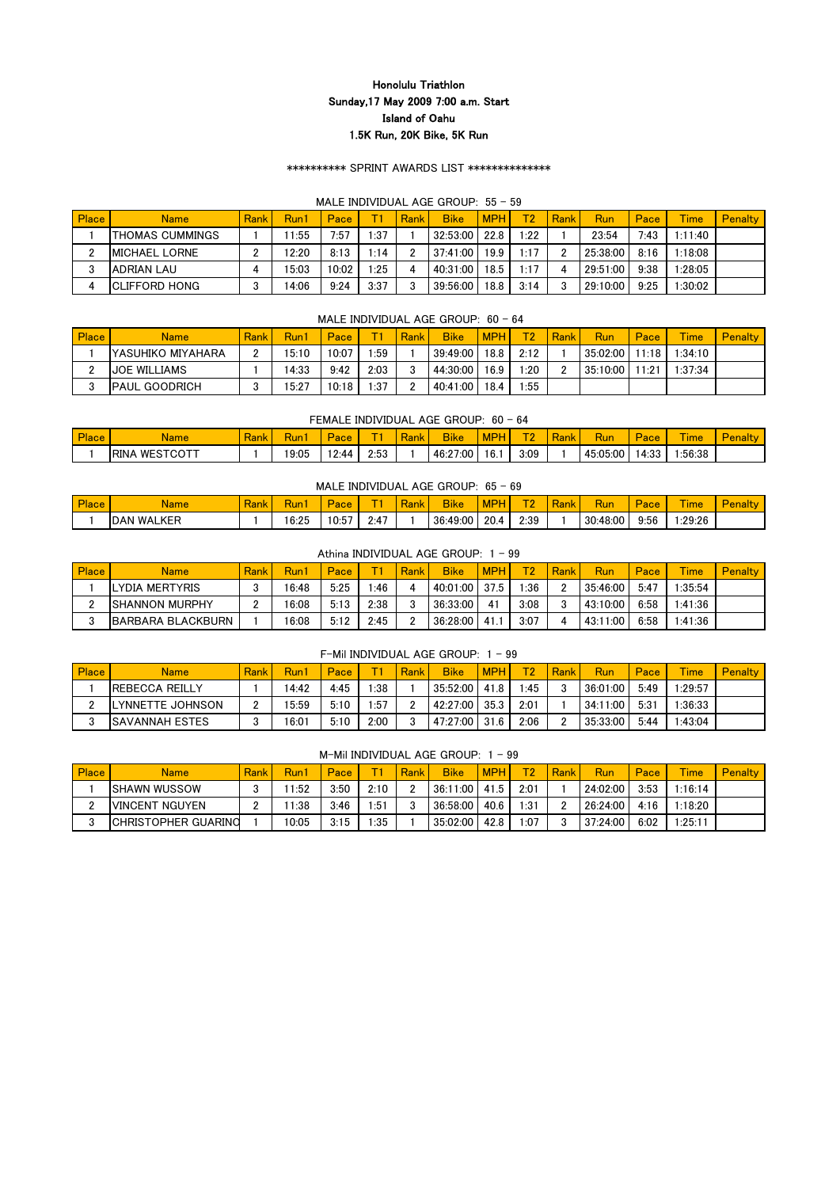## \*\*\*\*\*\*\*\*\*\* SPRINT AWARDS LIST \*\*\*\*\*\*\*\*\*\*\*\*\*\*

### MALE INDIVIDUAL AGE GROUP: 55 - 59

| Place | <b>Name</b>            | <b>Rank</b> | Run1  | Pace  |      | Rank | <b>Bike</b> | <b>MPH</b> | TO.  | Rank | Run      | Pace | <b>Time</b> | <b>Penalty</b> |
|-------|------------------------|-------------|-------|-------|------|------|-------------|------------|------|------|----------|------|-------------|----------------|
|       | <b>THOMAS CUMMINGS</b> |             | 1:55  | 7:57  | 1:37 |      | 32:53:00    | 22.8       | 1:22 |      | 23:54    | 7:43 | 1:11:40     |                |
| c     | <b>IMICHAEL LORNE</b>  |             | 12:20 | 8:13  | 1:14 |      | 37:41:00    | 19.9       | 1:17 |      | 25:38:00 | 8:16 | 1:18:08     |                |
| ≘     | <b>JADRIAN LAU</b>     |             | 5:03  | 10:02 | l:25 |      | 40:31:00    | 18.5       | 1:17 |      | 29:51:00 | 9:38 | :28:05      |                |
|       | <b>ICLIFFORD HONG</b>  |             | 14:06 | 9:24  | 3:37 |      | 39:56:00    | 18.8       | 3:14 |      | 29:10:00 | 9:25 | :30:02      |                |

## MALE INDIVIDUAL AGE GROUP:  $60 - 64$

| <b>Place</b> | <b>Name</b>               | Rank | Run1  | Pace  |      | Rank | <b>Bike</b> | <b>MPH</b> | TO.  | Rank | <b>Run</b> | Pace  | <b>Time</b> | <b>Penalty</b> |
|--------------|---------------------------|------|-------|-------|------|------|-------------|------------|------|------|------------|-------|-------------|----------------|
|              | <b>IYASUHIKO MIYAHARA</b> |      | 15:10 | 10:07 | :59  |      | 39:49:00    | 18.8       | 2:12 |      | 35:02:00   | 11:18 | :34:10      |                |
| ◠            | <b>JOE WILLIAMS</b>       |      | 14:33 | 9:42  | 2:03 |      | 44:30:00    | 16.9       | :20  |      | 35:10:00   | 1:21  | 1:37:34     |                |
|              | <b>IPAUL GOODRICH</b>     |      | 15:27 | 10:18 | 1:37 |      | 40:41:00    | 18.4       | :55  |      |            |       |             |                |

#### FEMALE INDIVIDUAL AGE GROUP: 60 - 64

| <b>Place</b> | Name                             | <b>Rank</b> | $\overline{\phantom{a}}$<br><b>Run</b> | $\sim$<br>$\overline{\mathbf{a}}$<br>ace | $\sim$ | .<br><b>Rank</b> | <b>Bike</b> | <b>MPP</b> | T <sub>0</sub> | $\sim$<br><b>Run</b> | Pace  | <b>Contract Contract</b><br><b>Ime</b> | Par<br>enait |
|--------------|----------------------------------|-------------|----------------------------------------|------------------------------------------|--------|------------------|-------------|------------|----------------|----------------------|-------|----------------------------------------|--------------|
|              | <b>IRINA</b><br>$\land$ WESTCOTT |             | 19:05                                  | 12.44                                    | 2:53   |                  | 46:27:00    | 16.1       | 3:09           | 45:05:00             | 14:33 | :56:38                                 |              |

### MALE INDIVIDUAL AGE GROUP: 65 - 69

| <b>Place</b><br>iace | Name                                 | $\sim$<br>19 M<br>NGH. | w              | <b>Service</b><br>au | -                  | $\sim$ | <b>OII</b><br>ыке |      | $ \sim$<br>. . | $\overline{\phantom{a}}$<br><b><i><u>Property</u></i></b> | <b>Rul</b> | Pace. | <b><i><u>Property</u></i></b><br><b>Ime</b> | $\overline{\phantom{a}}$<br><b>Contract Contract Contract</b> |
|----------------------|--------------------------------------|------------------------|----------------|----------------------|--------------------|--------|-------------------|------|----------------|-----------------------------------------------------------|------------|-------|---------------------------------------------|---------------------------------------------------------------|
|                      | <b>SEL</b><br>WAL<br><b>DAN</b><br>◝ |                        | 16.25<br>'6.Zວ | $- -$<br>.<br>v.v    | 2.47<br>$\sim$ . T |        | 36:49:00          | 20.4 | 2:39<br>◠      |                                                           | 30:48:00   | 9:56  | :29:26                                      |                                                               |

### Athina INDIVIDUAL AGE GROUP: 1 - 99

| <b>Place</b> | Name                      | <b>Rank</b> | Run1  | Pace |      | Rank | <b>Bike</b> | <b>MPH</b> | πn   | Rank | Run      | Pace | <b>Time</b> | <b>Penalty</b> |
|--------------|---------------------------|-------------|-------|------|------|------|-------------|------------|------|------|----------|------|-------------|----------------|
|              | <b>ILYDIA MERTYRIS</b>    |             | 16:48 | 5:25 | :46  |      | 40:01:00    | 37.5       | :36  |      | 35:46:00 | 5:47 | :35:54      |                |
|              | <b>ISHANNON MURPHY</b>    |             | 16:08 | 5:13 | 2:38 |      | 36:33:00    | 41         | 3:08 |      | 43:10:00 | 6:58 | 1:41:36     |                |
|              | <b>IBARBARA BLACKBURN</b> |             | 16:08 | 5:12 | 2:45 |      | 36:28:00    | 41.1       | 3:07 |      | 43:11:00 | 6:58 | :41:36      |                |

|              | F-Mil INDIVIDUAL AGE GROUP: 1<br>- 99                                                                                                   |  |       |      |      |  |               |      |      |  |          |      |         |  |  |
|--------------|-----------------------------------------------------------------------------------------------------------------------------------------|--|-------|------|------|--|---------------|------|------|--|----------|------|---------|--|--|
| <b>Place</b> | T2'<br><b>MPH</b><br><b>Rank</b><br><b>Bike</b><br>Run1<br>Rank<br>Rank<br>Time<br>Run<br>Pace<br>Pace<br><b>Penalty</b><br><b>Name</b> |  |       |      |      |  |               |      |      |  |          |      |         |  |  |
|              | <b>IREBECCA REILLY</b>                                                                                                                  |  | 14:42 | 4:45 | 83∷، |  | 35:52:00 41.8 |      | 45:۱ |  | 36:01:00 | 5:49 | 1:29:57 |  |  |
|              | YNNETTE JOHNSON.                                                                                                                        |  | 15:59 | 5:10 | 1:57 |  | 42:27:00      | 35.3 | 2:01 |  | 34:11:00 | 5:31 | 1:36:33 |  |  |
|              | ISAVANNAH ESTES                                                                                                                         |  | 16:01 | 5:10 | 2:00 |  | 47:27:00 31.6 |      | 2:06 |  | 35:33:00 | 5:44 | 1:43:04 |  |  |

### M-Mil INDIVIDUAL AGE GROUP: 1 - 99

| <b>Place</b> | <b>Name</b>                 | <b>Rank</b> | Run1  | Pace |       | Rank | <b>Bike</b> | <b>MPH</b> | $\overline{10}$ | Rank | Run      | Pace | <b>Time</b> | <b>Penalty</b> |
|--------------|-----------------------------|-------------|-------|------|-------|------|-------------|------------|-----------------|------|----------|------|-------------|----------------|
|              | <b>ISHAWN WUSSOW</b>        |             | 1:52  | 3:50 | 2:10  |      | 36:11:00    | 41.5       | 2:01            |      | 24:02:00 | 3:53 | :16:14      |                |
| n            | <b>IVINCENT NGUYEN</b>      |             | 1:38  | 3:46 | :51   |      | 36:58:00    | 40.6       | :31             |      | 26:24:00 | 4:16 | 1:18:20     |                |
| $\sim$       | <b>ICHRISTOPHER GUARINO</b> |             | 10:05 | 3:15 | .35∶، |      | 35:02:00    | 42.8       | :07             |      | 37:24:00 | 6:02 | :25:11      |                |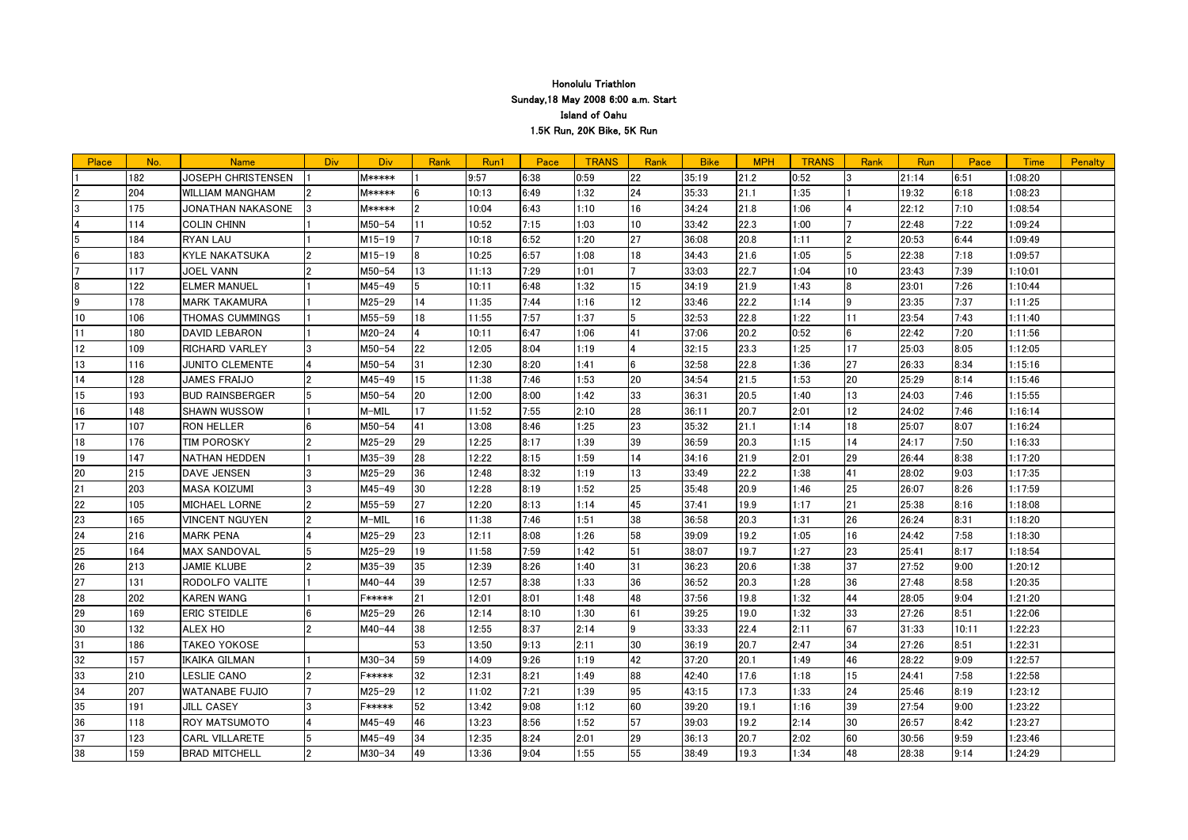| Place | No. | <b>Name</b>            | Div.           | <b>Div</b>    | Rank    | Run1  | Pace | <b>TRANS</b> | Rank | <b>Bike</b> | <b>MPH</b> | <b>TRANS</b> | Rank | Run   | Pace  | Time    | <b>Penalty</b> |
|-------|-----|------------------------|----------------|---------------|---------|-------|------|--------------|------|-------------|------------|--------------|------|-------|-------|---------|----------------|
|       | 182 | JOSEPH CHRISTENSEN     |                | <b>M*****</b> |         | 9:57  | 6:38 | 0:59         | 22   | 35:19       | 21.2       | 0:52         |      | 21:14 | 6:51  | 1:08:20 |                |
|       | 204 | <b>WILLIAM MANGHAM</b> | 2              | <b>M*****</b> |         | 10:13 | 6:49 | 1:32         | 24   | 35:33       | 21.1       | 1:35         |      | 19:32 | 6:18  | 1:08:23 |                |
| 13    | 175 | JONATHAN NAKASONE      | 3              | <b>M*****</b> |         | 10:04 | 6:43 | 1:10         | 16   | 34:24       | 21.8       | 1:06         |      | 22:12 | 7:10  | 1:08:54 |                |
|       | 114 | <b>COLIN CHINN</b>     |                | $M50 - 54$    | 11      | 10:52 | 7:15 | 1:03         | 10   | 33:42       | 22.3       | 1:00         |      | 22:48 | 7:22  | 1:09:24 |                |
| 5     | 184 | <b>RYAN LAU</b>        |                | $M15 - 19$    |         | 10:18 | 6:52 | 1:20         | 27   | 36:08       | 20.8       | 1:11         |      | 20:53 | 6:44  | 1:09:49 |                |
|       | 183 | <b>KYLE NAKATSUKA</b>  |                | $M15 - 19$    |         | 10:25 | 6:57 | 1:08         | 18   | 34:43       | 21.6       | 1:05         |      | 22:38 | 7:18  | 1:09:57 |                |
|       | 117 | <b>JOEL VANN</b>       |                | $M50 - 54$    | 13      | 11:13 | 7:29 | 1:01         |      | 33:03       | 22.7       | 1:04         | 10   | 23:43 | 7:39  | 1:10:01 |                |
| 8     | 122 | <b>ELMER MANUEL</b>    |                | M45-49        |         | 10:11 | 6:48 | 1:32         | 15   | 34:19       | 21.9       | 1:43         | 8    | 23:01 | 7:26  | 1:10:44 |                |
| 9     | 178 | <b>MARK TAKAMURA</b>   |                | $M25 - 29$    | 14      | 11:35 | 7:44 | 1:16         | 12   | 33:46       | 22.2       | 1:14         | 19   | 23:35 | 7:37  | 1:11:25 |                |
| 10    | 106 | THOMAS CUMMINGS        |                | M55-59        | 18      | 11:55 | 7:57 | 1:37         |      | 32:53       | 22.8       | 1:22         | 11   | 23:54 | 7:43  | 1:11:40 |                |
| 11    | 180 | <b>DAVID LEBARON</b>   |                | $M20 - 24$    |         | 10:11 | 6:47 | 1:06         | 41   | 37:06       | 20.2       | 0:52         |      | 22:42 | 7:20  | 1:11:56 |                |
| 12    | 109 | <b>RICHARD VARLEY</b>  |                | $M50 - 54$    | 22      | 12:05 | 8:04 | 1:19         |      | 32:15       | 23.3       | 1:25         | 17   | 25:03 | 8:05  | 1:12:05 |                |
| 13    | 116 | <b>JUNITO CLEMENTE</b> |                | $M50 - 54$    | 31      | 12:30 | 8:20 | 1:41         |      | 32:58       | 22.8       | 1:36         | 27   | 26:33 | 8:34  | 1:15:16 |                |
| 14    | 128 | <b>JAMES FRAIJO</b>    |                | M45-49        | 15      | 11:38 | 7:46 | 1:53         | 20   | 34:54       | 21.5       | 1:53         | 20   | 25:29 | 8:14  | 1:15:46 |                |
| 15    | 193 | <b>BUD RAINSBERGER</b> |                | $M50 - 54$    | 20      | 12:00 | 8:00 | 1:42         | 33   | 36:31       | 20.5       | 1:40         | 13   | 24:03 | 7:46  | 1:15:55 |                |
| 16    | 148 | <b>SHAWN WUSSOW</b>    |                | M-MIL         | 17      | 11:52 | 7:55 | 2:10         | 28   | 36:11       | 20.7       | 2:01         | 12   | 24:02 | 7:46  | 1:16:14 |                |
| 17    | 107 | <b>RON HELLER</b>      |                | M50-54        | 41      | 13:08 | 8:46 | 1:25         | 23   | 35:32       | 21.1       | 1:14         | 18   | 25:07 | 8:07  | 1:16:24 |                |
| 18    | 176 | <b>TIM POROSKY</b>     |                | $M25 - 29$    | 29      | 12:25 | 8:17 | 1:39         | 39   | 36:59       | 20.3       | 1:15         | 14   | 24:17 | 7:50  | 1:16:33 |                |
| 19    | 147 | <b>NATHAN HEDDEN</b>   |                | M35-39        | 28      | 12:22 | 8:15 | 1:59         | 14   | 34:16       | 21.9       | 2:01         | 29   | 26:44 | 8:38  | 1:17:20 |                |
| 20    | 215 | <b>DAVE JENSEN</b>     |                | $M25 - 29$    | 36      | 12:48 | 8:32 | 1:19         | 13   | 33:49       | 22.2       | 1:38         | 41   | 28:02 | 9:03  | 1:17:35 |                |
| 21    | 203 | <b>MASA KOIZUMI</b>    |                | M45-49        | 30      | 12:28 | 8:19 | 1:52         | 25   | 35:48       | 20.9       | 1:46         | 25   | 26:07 | 8:26  | 1:17:59 |                |
| 22    | 105 | <b>MICHAEL LORNE</b>   | $\overline{2}$ | $M55 - 59$    | 27      | 12:20 | 8:13 | 1:14         | 45   | 37:41       | 19.9       | 1:17         | 21   | 25:38 | 8:16  | 1:18:08 |                |
| 23    | 165 | <b>VINCENT NGUYEN</b>  |                | M-MIL         | 16      | 11:38 | 7:46 | 1:51         | 38   | 36:58       | 20.3       | 1:31         | 26   | 26:24 | 8:31  | 1:18:20 |                |
| 24    | 216 | <b>MARK PENA</b>       |                | $M25 - 29$    | 23      | 12:11 | 8:08 | 1:26         | 58   | 39:09       | 19.2       | 1:05         | 16   | 24:42 | 7:58  | 1:18:30 |                |
| 25    | 164 | <b>MAX SANDOVAL</b>    |                | $M25 - 29$    | 19      | 11:58 | 7:59 | 1:42         | 151  | 38:07       | 19.7       | 1:27         | 23   | 25:41 | 8:17  | 1:18:54 |                |
| 26    | 213 | <b>JAMIE KLUBE</b>     |                | M35-39        | 35      | 12:39 | 8:26 | 1:40         | 31   | 36:23       | 20.6       | 1:38         | 37   | 27:52 | 9:00  | 1:20:12 |                |
| 27    | 131 | RODOLFO VALITE         |                | $M40 - 44$    | 39      | 12:57 | 8:38 | 1:33         | 36   | 36:52       | 20.3       | 1:28         | 36   | 27:48 | 8:58  | 1:20:35 |                |
| 28    | 202 | KAREN WANG             |                | F∗∗∗∗∗        | 21      | 12:01 | 8:01 | 1:48         | 48   | 37:56       | 19.8       | 1:32         | 44   | 28:05 | 9:04  | 1:21:20 |                |
| 29    | 169 | ERIC STEIDLE           |                | M25-29        | 26      | 12:14 | 8:10 | 1:30         | 161  | 39:25       | 19.0       | 1:32         | 33   | 27:26 | 8:51  | 1:22:06 |                |
| 30    | 132 | <b>ALEX HO</b>         |                | M40-44        | 38      | 12:55 | 8:37 | 2:14         | 9    | 33:33       | 22.4       | 2:11         | 67   | 31:33 | 10:11 | 1:22:23 |                |
| 31    | 186 | <b>TAKEO YOKOSE</b>    |                |               | 53      | 13:50 | 9:13 | 2:11         | 30   | 36:19       | 20.7       | 2:47         | 34   | 27:26 | 8:51  | 1:22:31 |                |
| 32    | 157 | <b>IKAIKA GILMAN</b>   |                | $M30 - 34$    | 59      | 14:09 | 9:26 | 1:19         | 42   | 37:20       | 20.1       | 1:49         | 46   | 28:22 | 9:09  | 1:22:57 |                |
| 33    | 210 | LESLIE CANO            |                | <b>F*****</b> | 32      | 12:31 | 8:21 | 1:49         | 88   | 42:40       | 17.6       | 1:18         | 15   | 24:41 | 7:58  | 1:22:58 |                |
| 34    | 207 | <b>WATANABE FUJIO</b>  |                | $M25 - 29$    | $12 \,$ | 11:02 | 7:21 | 1:39         | 95   | 43:15       | 17.3       | 1:33         | 24   | 25:46 | 8:19  | 1:23:12 |                |
| 35    | 191 | <b>JILL CASEY</b>      |                | <b>F*****</b> | 52      | 13:42 | 9:08 | 1:12         | 60   | 39:20       | 19.1       | 1:16         | 39   | 27:54 | 9:00  | 1:23:22 |                |
| 36    | 118 | ROY MATSUMOTO          |                | M45-49        | 46      | 13:23 | 8:56 | 1:52         | 57   | 39:03       | 19.2       | 2:14         | 30   | 26:57 | 8:42  | 1:23:27 |                |
| 37    | 123 | <b>CARL VILLARETE</b>  |                | M45-49        | 34      | 12:35 | 8:24 | 2:01         | 29   | 36:13       | 20.7       | 2:02         | 60   | 30:56 | 9:59  | 1:23:46 |                |
| 38    | 159 | <b>BRAD MITCHELL</b>   |                | $M30 - 34$    | 49      | 13:36 | 9:04 | 1:55         | 55   | 38:49       | 19.3       | 1:34         | 48   | 28:38 | 9:14  | 1:24:29 |                |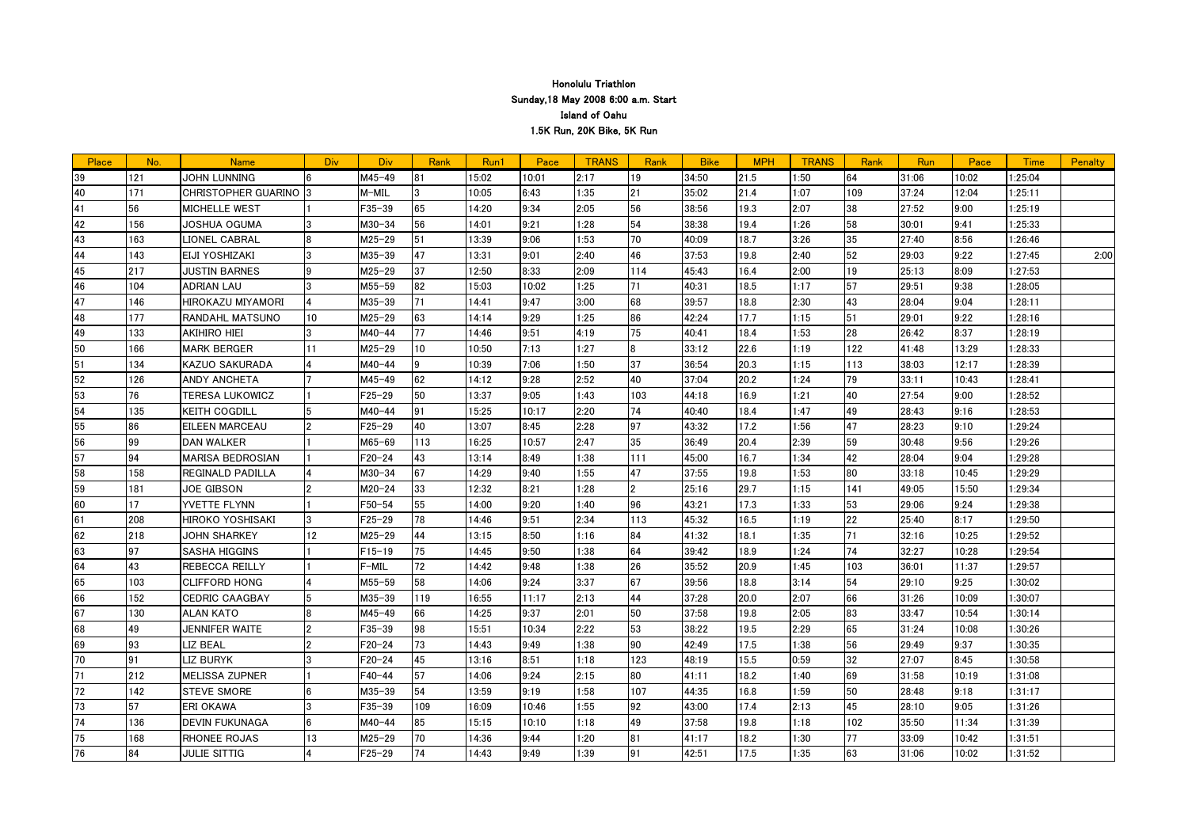| 2:17<br>39<br>121<br>JOHN LUNNING<br>$M45 - 49$<br> 81<br>15:02<br>10:01<br>19<br>34:50<br>21.5<br>1:50<br>64<br>31:06<br>10:02<br>:25:04<br>21<br>171<br>6:43<br>1:07<br>109<br>140<br>CHRISTOPHER GUARINO  3<br>M-MIL<br>10:05<br>1:35<br>35:02<br>21.4<br>37:24<br>12:04<br>1:25:11 |      |
|----------------------------------------------------------------------------------------------------------------------------------------------------------------------------------------------------------------------------------------------------------------------------------------|------|
|                                                                                                                                                                                                                                                                                        |      |
|                                                                                                                                                                                                                                                                                        |      |
| 65<br>14:20<br>9:34<br>2:05<br>56<br>19.3<br>2:07<br>38<br>27:52<br>9:00<br>MICHELLE WEST<br>$F35 - 39$<br>38:56<br>1:25:19<br>141<br>56                                                                                                                                               |      |
| 58<br>54<br>42<br>56<br>14:01<br>9:21<br>1:28<br>38:38<br>19.4<br>1:26<br>30:01<br>9:41<br>1:25:33<br>156<br>JOSHUA OGUMA<br>$M30 - 34$<br>3                                                                                                                                           |      |
| 35<br>13:39<br>70<br>18.7<br>3:26<br>43<br>163<br>LIONEL CABRAL<br>M25-29<br>51<br>9:06<br>1:53<br>40:09<br>27:40<br>8:56<br>1:26:46<br>8                                                                                                                                              |      |
| 52<br>47<br>13:31<br>9:01<br>46<br>19.8<br>2:40<br>29:03<br>9:22<br>44<br>EIJI YOSHIZAKI<br>M35-39<br>2:40<br>37:53<br>1:27:45<br>143                                                                                                                                                  | 2:00 |
| 12:50<br>19<br>45<br>217<br>$M25 - 29$<br>37<br>8:33<br>2:09<br>114<br>45:43<br>16.4<br>2:00<br>25:13<br>8:09<br>1:27:53<br><b>JUSTIN BARNES</b><br>9                                                                                                                                  |      |
| 57<br>9:38<br><b>ADRIAN LAU</b><br>M55-59<br>82<br>15:03<br>10:02<br>71<br>40:31<br>18.5<br>1:17<br>29:51<br>1:28:05<br>46<br>104<br>1:25                                                                                                                                              |      |
| 43<br>47<br>HIROKAZU MIYAMORI<br>71<br>14:41<br>9:47<br>68<br>18.8<br>2:30<br>9:04<br>1:28:11<br>146<br>M35-39<br>3:00<br>39:57<br>28:04                                                                                                                                               |      |
| 177<br>10 <sup>°</sup><br>63<br>14:14<br>86<br>17.7<br>51<br>29:01<br>9:22<br>48<br>RANDAHL MATSUNO<br>$M25 - 29$<br>9:29<br>1:25<br>42:24<br>1:15<br>1:28:16                                                                                                                          |      |
| 75<br>28<br>77<br>14:46<br>9:51<br>18.4<br>1:53<br>26:42<br>8:37<br>49<br>133<br><b>AKIHIRO HIEI</b><br>$M40 - 44$<br>4:19<br>40:41<br>1:28:19                                                                                                                                         |      |
| 10<br>10:50<br>18<br>22.6<br>1:19<br>122<br>50<br>166<br>MARK BERGER<br>11<br>M25-29<br>7:13<br>1:27<br>33:12<br>41:48<br>13:29<br>1:28:33                                                                                                                                             |      |
| 37<br>20.3<br>51<br>KAZUO SAKURADA<br>10:39<br>7:06<br>1:50<br>36:54<br>1:15<br>113<br>38:03<br>12:17<br>1:28:39<br>134<br>M40-44<br>9                                                                                                                                                 |      |
| 40<br>79<br>52<br>M45-49<br>62<br>14:12<br>9:28<br>2:52<br>37:04<br>20.2<br>1:24<br>10:43<br>126<br>ANDY ANCHETA<br>33:11<br>1:28:41                                                                                                                                                   |      |
| 40<br>50<br>13:37<br>9:05<br>103<br>44:18<br>16.9<br>1:21<br>27:54<br>9:00<br>1:28:52<br><b>TERESA LUKOWICZ</b><br>F25-29<br>1:43<br>53<br>76                                                                                                                                          |      |
| 74<br>49<br>54<br>135<br>15:25<br>10:17<br>2:20<br>18.4<br>1:47<br><b>KEITH COGDILL</b><br>$M40 - 44$<br> 91<br>40:40<br>28:43<br>9:16<br>1:28:53                                                                                                                                      |      |
| 97<br>47<br>40<br>13:07<br>8:45<br>17.2<br>1:56<br>28:23<br>9:10<br>55<br>86<br><b>EILEEN MARCEAU</b><br>$F25 - 29$<br>2:28<br>43:32<br>1:29:24                                                                                                                                        |      |
| 35<br>59<br>20.4<br>2:39<br>99<br>2:47<br>30:48<br>9:56<br>56<br><b>DAN WALKER</b><br>M65-69<br>113<br>16:25<br>10:57<br>36:49<br>1:29:26                                                                                                                                              |      |
| 94<br>42<br>57<br>MARISA BEDROSIAN<br>43<br>13:14<br>16.7<br>1:34<br>9:04<br>F20-24<br>8:49<br>1:38<br>111<br>45:00<br>28:04<br>1:29:28                                                                                                                                                |      |
| 80<br>67<br>47<br>REGINALD PADILLA<br>M30-34<br>14:29<br>9:40<br>1:55<br>37:55<br>19.8<br>1:53<br>33:18<br>10:45<br>1:29:29<br>58<br>158                                                                                                                                               |      |
| 33<br>12:32<br>8:21<br>l2<br>29.7<br>141<br>15:50<br>181<br>JOE GIBSON<br>$M20 - 24$<br>1:28<br>25:16<br>1:15<br>49:05<br>1:29:34<br>59                                                                                                                                                |      |
| 53<br>17<br>55<br>14:00<br>9:20<br>17.3<br>1:33<br>29:06<br>9:24<br>1:29:38<br>YVETTE FLYNN<br>F50-54<br>1:40<br>196<br>43:21<br>60                                                                                                                                                    |      |
| 22<br>161<br>208<br>78<br>14:46<br>9:51<br>2:34<br>113<br>45:32<br>16.5<br>1:19<br>25:40<br>8:17<br>1:29:50<br>HIROKO YOSHISAKI<br>3<br>$F25 - 29$                                                                                                                                     |      |
| 12 <sub>2</sub><br>44<br>84<br>1:35<br>62<br>218<br><b>JOHN SHARKEY</b><br>$M25 - 29$<br>13:15<br>8:50<br>1:16<br>41:32<br>18.1<br>71<br>32:16<br>10:25<br>1:29:52                                                                                                                     |      |
| 74<br>97<br>75<br>14:45<br>9:50<br>64<br>18.9<br>1:24<br>32:27<br>10:28<br>63<br>SASHA HIGGINS<br>F15-19<br>1:38<br>39:42<br>1:29:54                                                                                                                                                   |      |
| 43<br>72<br>26<br>20.9<br>103<br>REBECCA REILLY<br>14:42<br>9:48<br>1:38<br>35:52<br>1:45<br>36:01<br>11:37<br>1:29:57<br>64<br>F-MIL                                                                                                                                                  |      |
| 67<br>9:24<br>54<br>9:25<br>103<br><b>CLIFFORD HONG</b><br>M55-59<br>58<br>14:06<br>3:37<br>39:56<br>18.8<br>3:14<br>29:10<br>1:30:02<br>65                                                                                                                                            |      |
| 44<br>20.0<br>66<br>119<br>16:55<br>2:13<br>2:07<br>10:09<br>152<br>CEDRIC CAAGBAY<br>$M35 - 39$<br>11:17<br>37:28<br>31:26<br>1:30:07<br>66                                                                                                                                           |      |
| 83<br>66<br>14:25<br>9:37<br>50<br>33:47<br>10:54<br>67<br>130<br>ALAN KATO<br>$M45 - 49$<br>2:01<br>37:58<br>19.8<br>2:05<br>1:30:14                                                                                                                                                  |      |
| 65<br>49<br>98<br>15:51<br>10:34<br>2:22<br>53<br>19.5<br>2:29<br>31:24<br>10:08<br>168<br><b>JENNIFER WAITE</b><br>F35-39<br>38:22<br>1:30:26                                                                                                                                         |      |
| 56<br>69<br>LIZ BEAL<br>$\overline{2}$<br>73<br>14:43<br> 90 <br>17.5<br>1:38<br>29:49<br>9:37<br>93<br>$F20 - 24$<br>9:49<br>1:38<br>42:49<br>1:30:35                                                                                                                                 |      |
| 32<br>70<br>45<br>8:51<br>15.5<br>27:07<br>91<br>LIZ BURYK<br>13:16<br>1:18<br>123<br>0:59<br>8:45<br>1:30:58<br>3<br>F20-24<br>48:19                                                                                                                                                  |      |
| 69<br>71<br>212<br>57<br>14:06<br>9:24<br>2:15<br>80<br>18.2<br>10:19<br>MELISSA ZUPNER<br>F40-44<br>41:11<br>1:40<br>31:58<br>1:31:08                                                                                                                                                 |      |
| 107<br>50<br>72<br>142<br>M35-39<br>54<br>13:59<br>9:19<br>1:58<br>44:35<br>16.8<br>1:59<br>28:48<br>9:18<br>1:31:17<br><b>STEVE SMORE</b>                                                                                                                                             |      |
| 57<br> 92 <br>45<br>73<br>16:09<br>17.4<br>2:13<br>28:10<br>9:05<br>ERI OKAWA<br>$F35 - 39$<br>109<br>10:46<br>1:55<br>43:00<br>1:31:26                                                                                                                                                |      |
| 74<br>85<br>49<br>102<br>35:50<br>136<br><b>DEVIN FUKUNAGA</b><br>6<br>$M40 - 44$<br>15:15<br>10:10<br>1:18<br>37:58<br>19.8<br>1:18<br>11:34<br>1:31:39                                                                                                                               |      |
| 77<br>75<br>13<br>9:44<br>168<br>RHONEE ROJAS<br>$M25 - 29$<br>70<br>14:36<br>1:20<br> 81<br>41:17<br>18.2<br>1:30<br>33:09<br>10:42<br>1:31:51                                                                                                                                        |      |
| 84<br> 91<br>17.5<br>1:35<br>63<br>76<br>F25-29<br>74<br>14:43<br>9:49<br>1:39<br>42:51<br>10:02<br>1:31:52<br>JULIE SITTIG<br>31:06                                                                                                                                                   |      |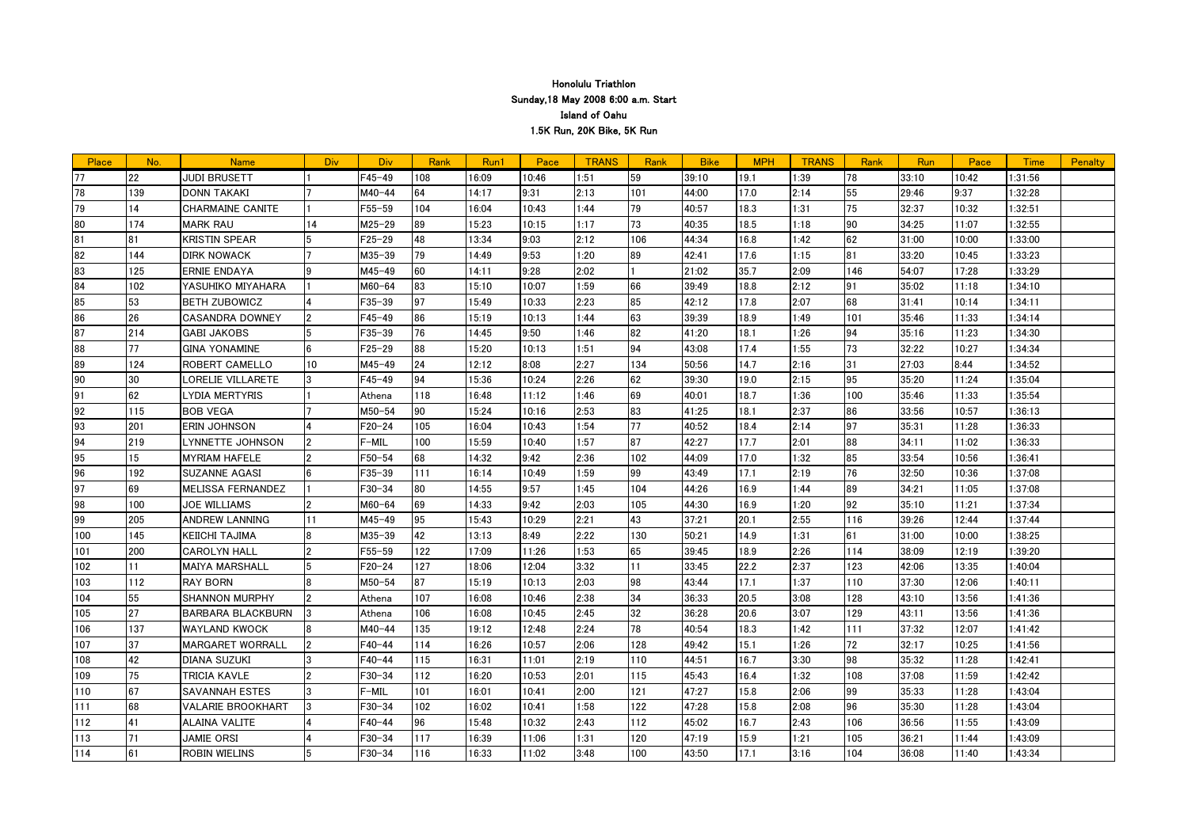| Place | No. | <b>Name</b>              | Div.           | <b>Div</b> | Rank | Run1  | Pace  | <b>TRANS</b> | Rank | <b>Bike</b> | <b>MPH</b> | <b>TRANS</b> | Rank | Run   | Pace  | Time    | <b>Penalty</b> |
|-------|-----|--------------------------|----------------|------------|------|-------|-------|--------------|------|-------------|------------|--------------|------|-------|-------|---------|----------------|
| 77    | 22  | <b>JUDI BRUSETT</b>      |                | $F45 - 49$ | 108  | 16:09 | 10:46 | 1:51         | 59   | 39:10       | 19.1       | 1:39         | 78   | 33:10 | 10:42 | 1:31:56 |                |
| 78    | 139 | <b>DONN TAKAKI</b>       |                | $M40 - 44$ | 64   | 14:17 | 9:31  | 2:13         | 101  | 44:00       | 17.0       | 2:14         | 55   | 29:46 | 9:37  | 1:32:28 |                |
| 79    | 14  | <b>CHARMAINE CANITE</b>  |                | $F55 - 59$ | 104  | 16:04 | 10:43 | 1:44         | 79   | 40:57       | 18.3       | 1:31         | 75   | 32:37 | 10:32 | 1:32:51 |                |
| 80    | 174 | <b>MARK RAU</b>          | 14             | $M25 - 29$ | 89   | 15:23 | 10:15 | 1:17         | 73   | 40:35       | 18.5       | 1:18         | 90   | 34:25 | 11:07 | 1:32:55 |                |
| 81    | 81  | <b>KRISTIN SPEAR</b>     |                | F25-29     | 48   | 13:34 | 9:03  | 2:12         | 106  | 44:34       | 16.8       | 1:42         | 62   | 31:00 | 10:00 | 1:33:00 |                |
| 82    | 144 | <b>DIRK NOWACK</b>       |                | M35-39     | 79   | 14:49 | 9:53  | 1:20         | 89   | 42:41       | 17.6       | 1:15         | 81   | 33:20 | 10:45 | 1:33:23 |                |
| 83    | 125 | ERNIE ENDAYA             |                | M45-49     | 60   | 14:11 | 9:28  | 2:02         |      | 21:02       | 35.7       | 2:09         | 146  | 54:07 | 17:28 | 1:33:29 |                |
| 84    | 102 | YASUHIKO MIYAHARA        |                | $M60 - 64$ | 83   | 15:10 | 10:07 | 1:59         | 66   | 39:49       | 18.8       | 2:12         | 91   | 35:02 | 11:18 | 1:34:10 |                |
| 85    | 53  | <b>BETH ZUBOWICZ</b>     |                | $F35 - 39$ | 97   | 15:49 | 10:33 | 2:23         | 85   | 42:12       | 17.8       | 2:07         | 68   | 31:41 | 10:14 | 1:34:11 |                |
| 86    | 26  | <b>CASANDRA DOWNEY</b>   |                | F45-49     | 86   | 15:19 | 10:13 | 1:44         | 63   | 39:39       | 18.9       | 1:49         | 101  | 35:46 | 11:33 | 1:34:14 |                |
| 87    | 214 | <b>GABI JAKOBS</b>       |                | F35-39     | 76   | 14:45 | 9:50  | 1:46         | 82   | 41:20       | 18.1       | 1:26         | 94   | 35:16 | 11:23 | 1:34:30 |                |
| 88    | 77  | <b>GINA YONAMINE</b>     |                | $F25 - 29$ | 88   | 15:20 | 10:13 | 1:51         | 94   | 43:08       | 17.4       | 1:55         | 73   | 32:22 | 10:27 | 1:34:34 |                |
| 89    | 124 | ROBERT CAMELLO           | 10             | M45-49     | 24   | 12:12 | 8:08  | 2:27         | 134  | 50:56       | 14.7       | 2:16         | 31   | 27:03 | 8:44  | 1:34:52 |                |
| 90    | 30  | ORELIE VILLARETE         |                | F45-49     | 94   | 15:36 | 10:24 | 2:26         | 62   | 39:30       | 19.0       | 2:15         | 95   | 35:20 | 11:24 | 1:35:04 |                |
| I91   | 62  | YDIA MERTYRIS            |                | Athena     | 118  | 16:48 | 11:12 | 1:46         | 69   | 40:01       | 18.7       | 1:36         | 100  | 35:46 | 11:33 | 1:35:54 |                |
| 92    | 115 | <b>BOB VEGA</b>          |                | $M50 - 54$ | 90   | 15:24 | 10:16 | 2:53         | 83   | 41:25       | 18.1       | 2:37         | 86   | 33:56 | 10:57 | 1:36:13 |                |
| 93    | 201 | ERIN JOHNSON             |                | F20-24     | 105  | 16:04 | 10:43 | 1:54         | 77   | 40:52       | 18.4       | 2:14         | 97   | 35:31 | 11:28 | 1:36:33 |                |
| 94    | 219 | LYNNETTE JOHNSON         |                | F-MIL      | 100  | 15:59 | 10:40 | 1:57         | 87   | 42:27       | 17.7       | 2:01         | 88   | 34:11 | 11:02 | 1:36:33 |                |
| 95    | 15  | <b>MYRIAM HAFELE</b>     |                | F50-54     | 68   | 14:32 | 9:42  | 2:36         | 102  | 44:09       | 17.0       | 1:32         | 85   | 33:54 | 10:56 | 1:36:41 |                |
| 96    | 192 | SUZANNE AGASI            |                | $F35 - 39$ | 111  | 16:14 | 10:49 | 1:59         | 99   | 43:49       | 17.1       | 2:19         | 76   | 32:50 | 10:36 | 1:37:08 |                |
| 97    | 69  | <b>MELISSA FERNANDEZ</b> |                | F30-34     | 80   | 14:55 | 9:57  | 1:45         | 104  | 44:26       | 16.9       | 1:44         | 89   | 34:21 | 11:05 | 1:37:08 |                |
| 98    | 100 | <b>JOE WILLIAMS</b>      |                | $M60 - 64$ | 69   | 14:33 | 9:42  | 2:03         | 105  | 44:30       | 16.9       | 1:20         | 92   | 35:10 | 11:21 | 1:37:34 |                |
| 99    | 205 | <b>ANDREW LANNING</b>    | 11             | $M45 - 49$ | 95   | 15:43 | 10:29 | 2:21         | 43   | 37:21       | 20.1       | 2:55         | 116  | 39:26 | 12:44 | 1:37:44 |                |
| 100   | 145 | KEIICHI TAJIMA           |                | M35-39     | 42   | 13:13 | 8:49  | 2:22         | 130  | 50:21       | 14.9       | 1:31         | 61   | 31:00 | 10:00 | 1:38:25 |                |
| 101   | 200 | <b>CAROLYN HALL</b>      |                | $F55 - 59$ | 122  | 17:09 | 11:26 | 1:53         | 65   | 39:45       | 18.9       | 2:26         | 114  | 38:09 | 12:19 | 1:39:20 |                |
| 102   | 11  | <b>MAIYA MARSHALL</b>    |                | $F20 - 24$ | 127  | 18:06 | 12:04 | 3:32         | 11   | 33:45       | 22.2       | 2:37         | 123  | 42:06 | 13:35 | 1:40:04 |                |
| 103   | 112 | <b>RAY BORN</b>          |                | $M50 - 54$ | 87   | 15:19 | 10:13 | 2:03         | 98   | 43:44       | 17.1       | 1:37         | 110  | 37:30 | 12:06 | 1:40:11 |                |
| 104   | 55  | <b>SHANNON MURPHY</b>    | 2              | Athena     | 107  | 16:08 | 10:46 | 2:38         | 34   | 36:33       | 20.5       | 3:08         | 128  | 43:10 | 13:56 | 1:41:36 |                |
| 105   | 27  | <b>BARBARA BLACKBURN</b> | 3              | Athena     | 106  | 16:08 | 10:45 | 2:45         | 32   | 36:28       | 20.6       | 3:07         | 129  | 43:11 | 13:56 | 1:41:36 |                |
| 106   | 137 | <b>WAYLAND KWOCK</b>     |                | $M40 - 44$ | 135  | 19:12 | 12:48 | 2:24         | 78   | 40:54       | 18.3       | 1:42         | 111  | 37:32 | 12:07 | 1:41:42 |                |
| 107   | 37  | MARGARET WORRALL         | $\overline{2}$ | $F40 - 44$ | 114  | 16:26 | 10:57 | 2:06         | 128  | 49:42       | 15.1       | 1:26         | 72   | 32:17 | 10:25 | 1:41:56 |                |
| 108   | 42  | <b>DIANA SUZUKI</b>      | 3              | $F40 - 44$ | 115  | 16:31 | 11:01 | 2:19         | 110  | 44:51       | 16.7       | 3:30         | 98   | 35:32 | 11:28 | 1:42:41 |                |
| 109   | 75  | TRICIA KAVLE             |                | $F30 - 34$ | 112  | 16:20 | 10:53 | 2:01         | 115  | 45:43       | 16.4       | 1:32         | 108  | 37:08 | 11:59 | 1:42:42 |                |
| 110   | 67  | <b>SAVANNAH ESTES</b>    | 3              | F-MIL      | 101  | 16:01 | 10:41 | 2:00         | 121  | 47:27       | 15.8       | 2:06         | 99   | 35:33 | 11:28 | 1:43:04 |                |
| 111   | 68  | <b>VALARIE BROOKHART</b> | 13             | $F30 - 34$ | 102  | 16:02 | 10:41 | 1:58         | 122  | 47:28       | 15.8       | 2:08         | 96   | 35:30 | 11:28 | 1:43:04 |                |
| 112   | 41  | <b>ALAINA VALITE</b>     |                | F40-44     | 96   | 15:48 | 10:32 | 2:43         | 112  | 45:02       | 16.7       | 2:43         | 106  | 36:56 | 11:55 | 1:43:09 |                |
| 113   | 71  | JAMIE ORSI               |                | $F30 - 34$ | 117  | 16:39 | 11:06 | 1:31         | 120  | 47:19       | 15.9       | 1:21         | 105  | 36:21 | 11:44 | 1:43:09 |                |
| 114   | 61  | <b>ROBIN WIELINS</b>     | 5              | F30-34     | 116  | 16:33 | 11:02 | 3:48         | 100  | 43:50       | 17.1       | 3:16         | 104  | 36:08 | 11:40 | 1:43:34 |                |